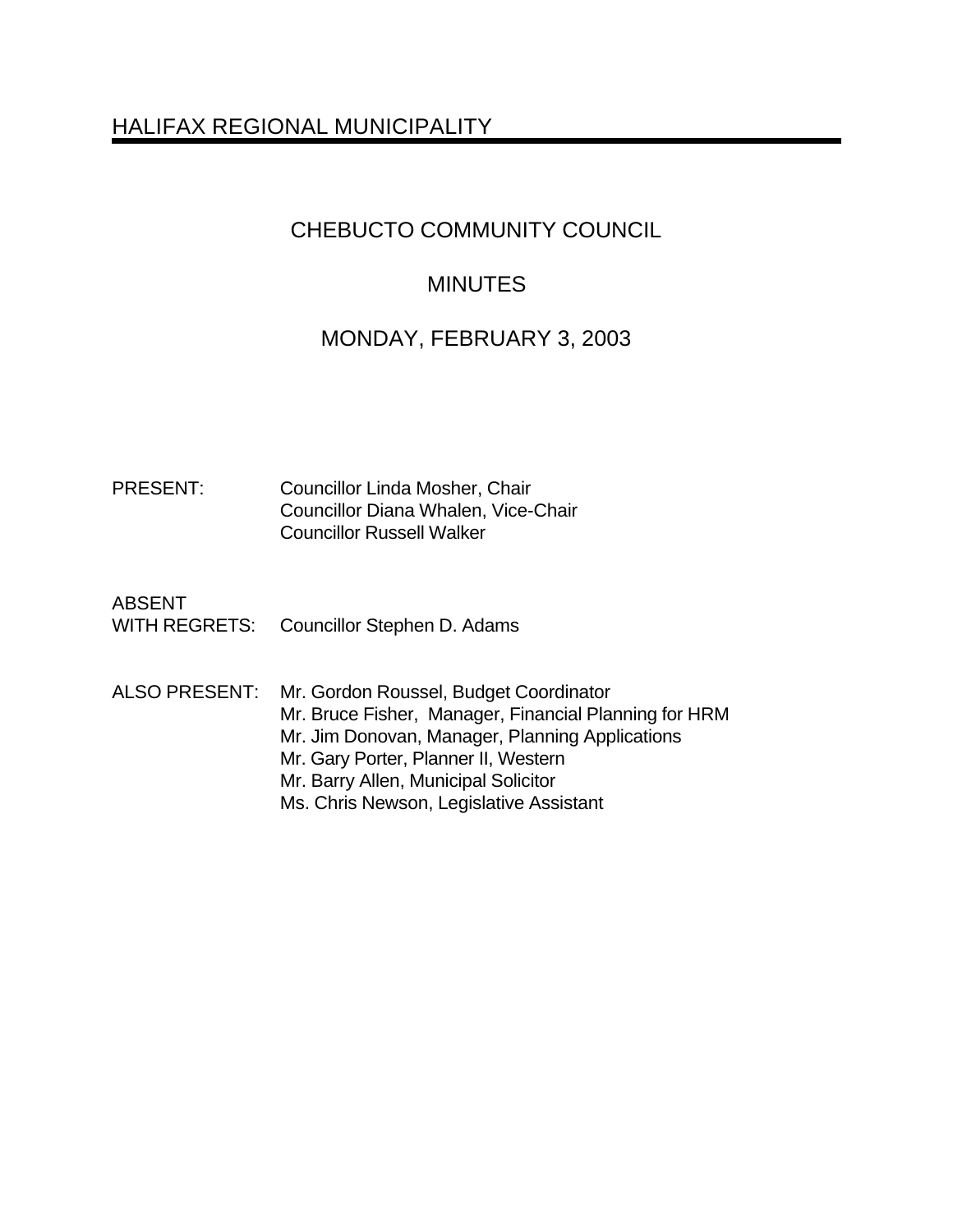# HALIFAX REGIONAL MUNICIPALITY

# CHEBUCTO COMMUNITY COUNCIL

# MINUTES

# MONDAY, FEBRUARY 3, 2003

## PRESENT: Councillor Linda Mosher, Chair Councillor Diana Whalen, Vice-Chair Councillor Russell Walker

# ABSENT WITH REGRETS: Councillor Stephen D. Adams

ALSO PRESENT: Mr. Gordon Roussel, Budget Coordinator Mr. Bruce Fisher, Manager, Financial Planning for HRM Mr. Jim Donovan, Manager, Planning Applications Mr. Gary Porter, Planner II, Western Mr. Barry Allen, Municipal Solicitor Ms. Chris Newson, Legislative Assistant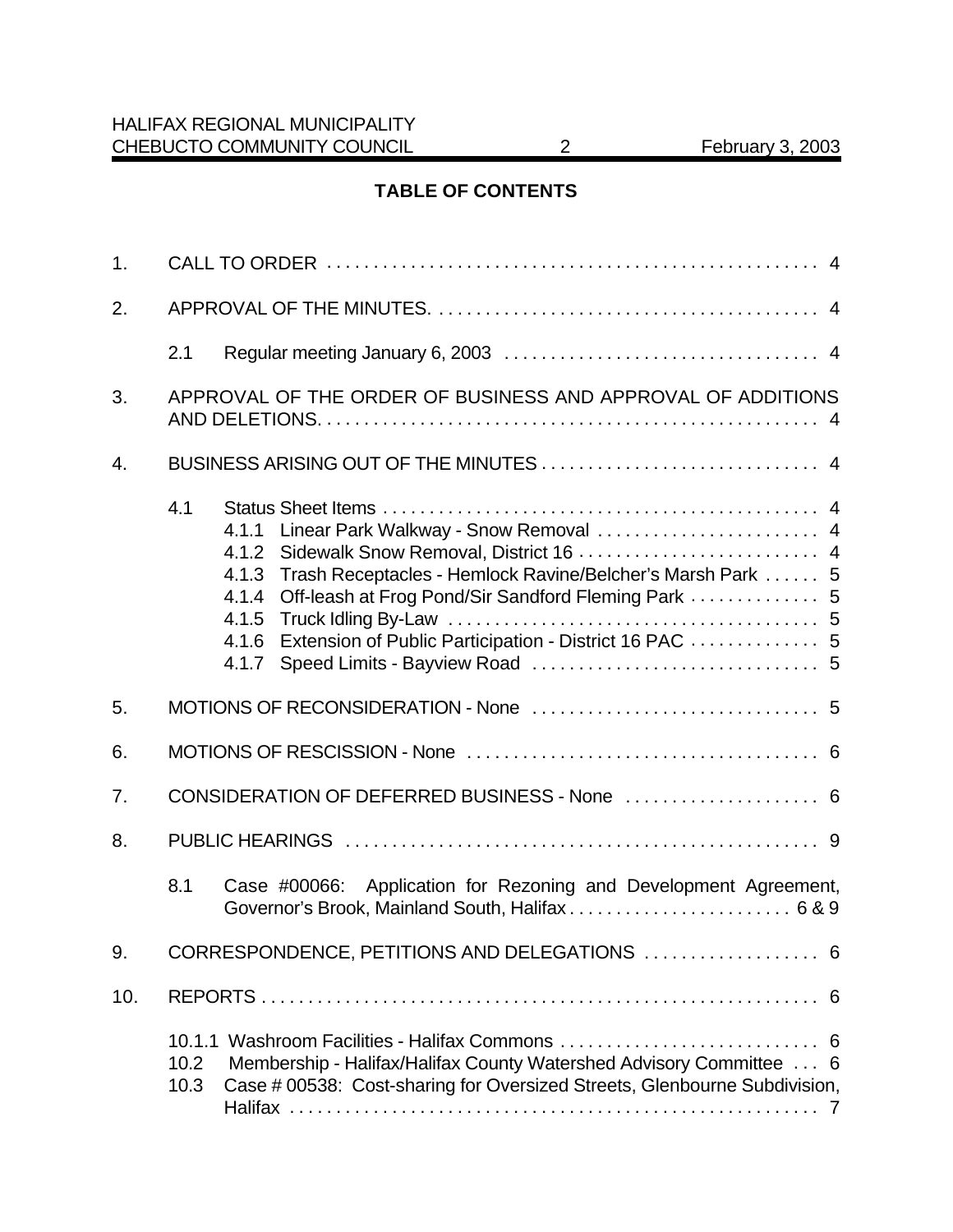# **TABLE OF CONTENTS**

| 1.  |              |                                                                                                                                                                                                                                                                                  |  |  |
|-----|--------------|----------------------------------------------------------------------------------------------------------------------------------------------------------------------------------------------------------------------------------------------------------------------------------|--|--|
| 2.  |              |                                                                                                                                                                                                                                                                                  |  |  |
|     | 2.1          |                                                                                                                                                                                                                                                                                  |  |  |
| 3.  |              | APPROVAL OF THE ORDER OF BUSINESS AND APPROVAL OF ADDITIONS                                                                                                                                                                                                                      |  |  |
| 4.  |              |                                                                                                                                                                                                                                                                                  |  |  |
|     | 4.1          | Linear Park Walkway - Snow Removal  4<br>4.1.1<br>4.1.2<br>4.1.3 Trash Receptacles - Hemlock Ravine/Belcher's Marsh Park  5<br>Off-leash at Frog Pond/Sir Sandford Fleming Park  5<br>4.1.4<br>4.1.5<br>Extension of Public Participation - District 16 PAC  5<br>4.1.6<br>4.1.7 |  |  |
| 5.  |              |                                                                                                                                                                                                                                                                                  |  |  |
| 6.  |              |                                                                                                                                                                                                                                                                                  |  |  |
| 7.  |              |                                                                                                                                                                                                                                                                                  |  |  |
| 8.  |              |                                                                                                                                                                                                                                                                                  |  |  |
|     | 8.1          | Case #00066: Application for Rezoning and Development Agreement,                                                                                                                                                                                                                 |  |  |
| 9.  |              | CORRESPONDENCE, PETITIONS AND DELEGATIONS  6                                                                                                                                                                                                                                     |  |  |
| 10. |              |                                                                                                                                                                                                                                                                                  |  |  |
|     | 10.2<br>10.3 | Membership - Halifax/Halifax County Watershed Advisory Committee  6<br>Case # 00538: Cost-sharing for Oversized Streets, Glenbourne Subdivision,                                                                                                                                 |  |  |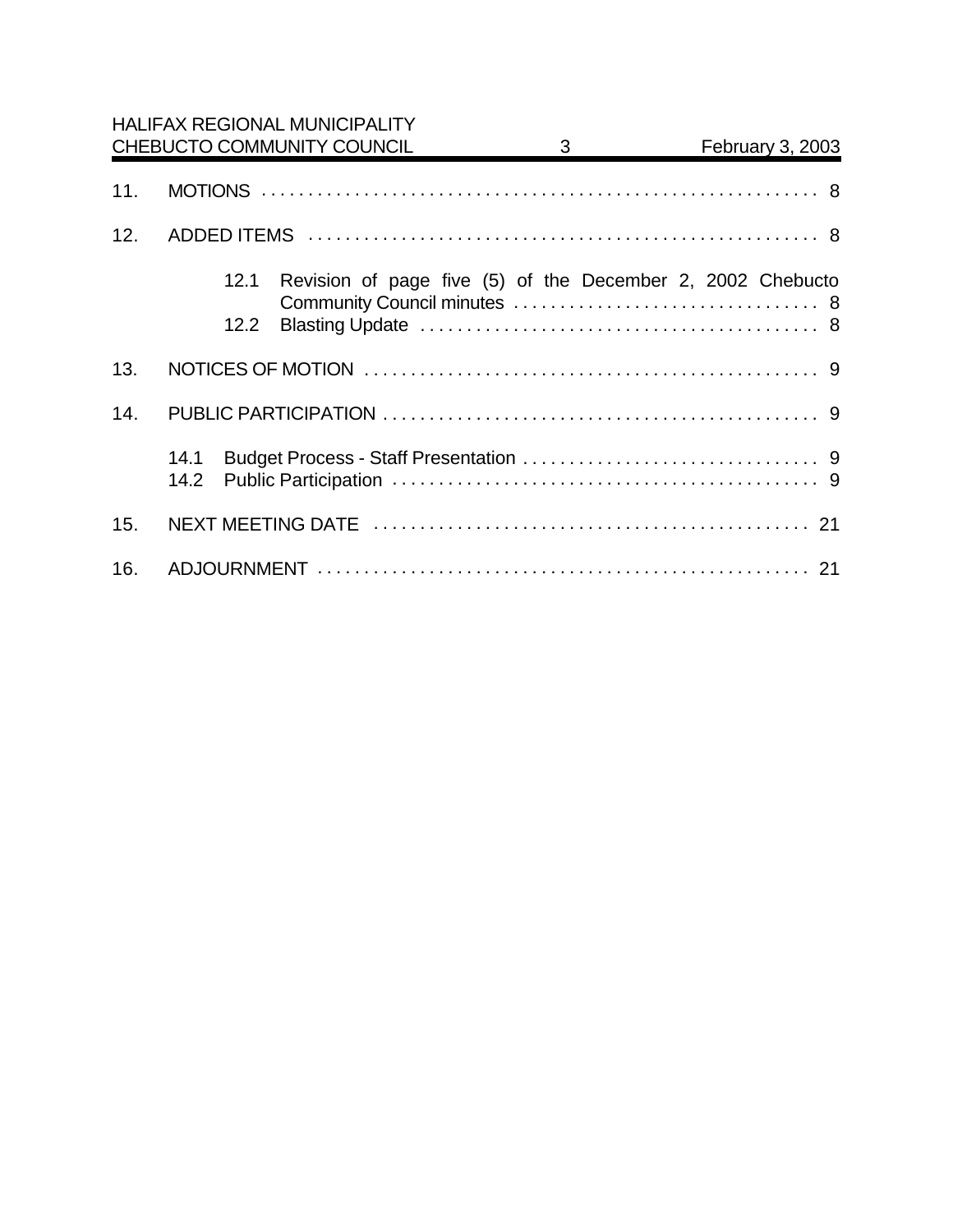|     |              | <b>HALIFAX REGIONAL MUNICIPALITY</b><br>CHEBUCTO COMMUNITY COUNCIL | 3 | February 3, 2003 |
|-----|--------------|--------------------------------------------------------------------|---|------------------|
| 11. |              |                                                                    |   |                  |
| 12. |              |                                                                    |   |                  |
|     | 12.1<br>12.2 | Revision of page five (5) of the December 2, 2002 Chebucto         |   |                  |
| 13. |              |                                                                    |   |                  |
| 14. |              |                                                                    |   |                  |
|     | 14.1<br>14.2 |                                                                    |   |                  |
| 15. |              |                                                                    |   |                  |
| 16. |              |                                                                    |   |                  |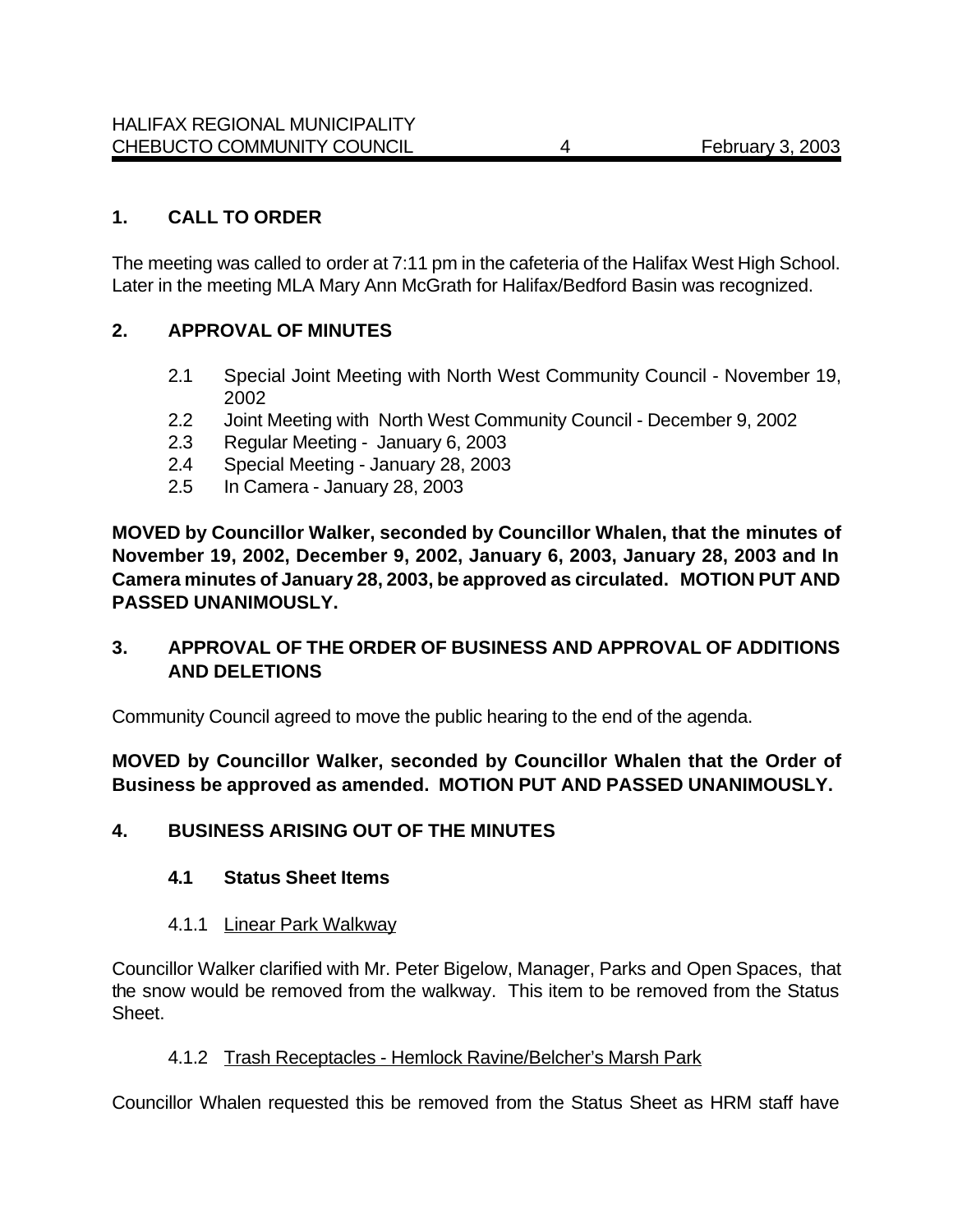# **1. CALL TO ORDER**

The meeting was called to order at 7:11 pm in the cafeteria of the Halifax West High School. Later in the meeting MLA Mary Ann McGrath for Halifax/Bedford Basin was recognized.

# **2. APPROVAL OF MINUTES**

- 2.1 Special Joint Meeting with North West Community Council November 19, 2002
- 2.2 Joint Meeting with North West Community Council December 9, 2002
- 2.3 Regular Meeting January 6, 2003
- 2.4 Special Meeting January 28, 2003
- 2.5 In Camera January 28, 2003

**MOVED by Councillor Walker, seconded by Councillor Whalen, that the minutes of November 19, 2002, December 9, 2002, January 6, 2003, January 28, 2003 and In Camera minutes of January 28, 2003, be approved as circulated. MOTION PUT AND PASSED UNANIMOUSLY.**

# **3. APPROVAL OF THE ORDER OF BUSINESS AND APPROVAL OF ADDITIONS AND DELETIONS**

Community Council agreed to move the public hearing to the end of the agenda.

**MOVED by Councillor Walker, seconded by Councillor Whalen that the Order of Business be approved as amended. MOTION PUT AND PASSED UNANIMOUSLY.**

# **4. BUSINESS ARISING OUT OF THE MINUTES**

## **4.1 Status Sheet Items**

## 4.1.1 Linear Park Walkway

Councillor Walker clarified with Mr. Peter Bigelow, Manager, Parks and Open Spaces, that the snow would be removed from the walkway. This item to be removed from the Status Sheet.

## 4.1.2 Trash Receptacles - Hemlock Ravine/Belcher's Marsh Park

Councillor Whalen requested this be removed from the Status Sheet as HRM staff have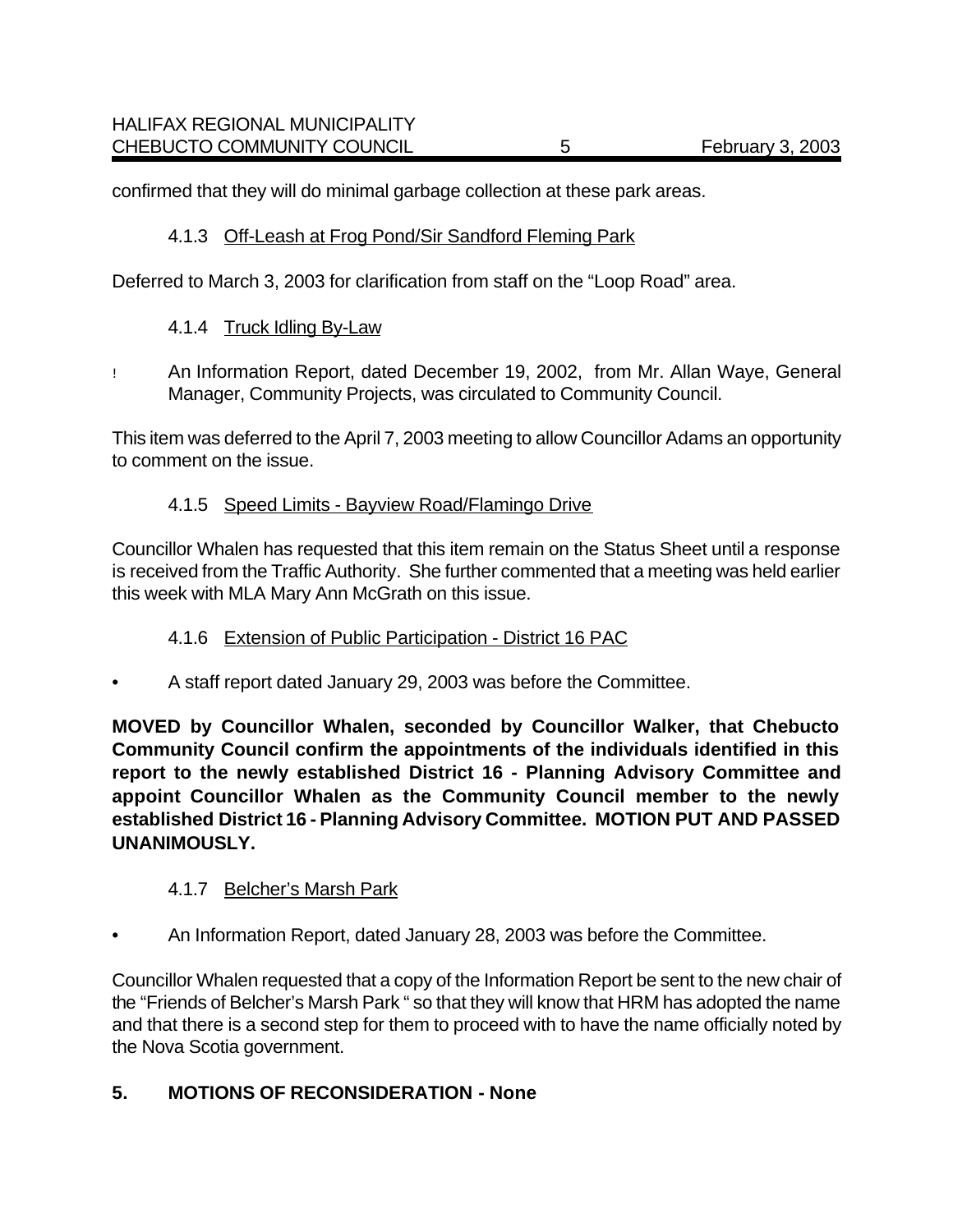confirmed that they will do minimal garbage collection at these park areas.

# 4.1.3 Off-Leash at Frog Pond/Sir Sandford Fleming Park

Deferred to March 3, 2003 for clarification from staff on the "Loop Road" area.

## 4.1.4 Truck Idling By-Law

! An Information Report, dated December 19, 2002, from Mr. Allan Waye, General Manager, Community Projects, was circulated to Community Council.

This item was deferred to the April 7, 2003 meeting to allow Councillor Adams an opportunity to comment on the issue.

## 4.1.5 Speed Limits - Bayview Road/Flamingo Drive

Councillor Whalen has requested that this item remain on the Status Sheet until a response is received from the Traffic Authority. She further commented that a meeting was held earlier this week with MLA Mary Ann McGrath on this issue.

## 4.1.6 Extension of Public Participation - District 16 PAC

• A staff report dated January 29, 2003 was before the Committee.

**MOVED by Councillor Whalen, seconded by Councillor Walker, that Chebucto Community Council confirm the appointments of the individuals identified in this report to the newly established District 16 - Planning Advisory Committee and appoint Councillor Whalen as the Community Council member to the newly established District 16 - Planning Advisory Committee. MOTION PUT AND PASSED UNANIMOUSLY.**

## 4.1.7 Belcher's Marsh Park

• An Information Report, dated January 28, 2003 was before the Committee.

Councillor Whalen requested that a copy of the Information Report be sent to the new chair of the "Friends of Belcher's Marsh Park " so that they will know that HRM has adopted the name and that there is a second step for them to proceed with to have the name officially noted by the Nova Scotia government.

## **5. MOTIONS OF RECONSIDERATION - None**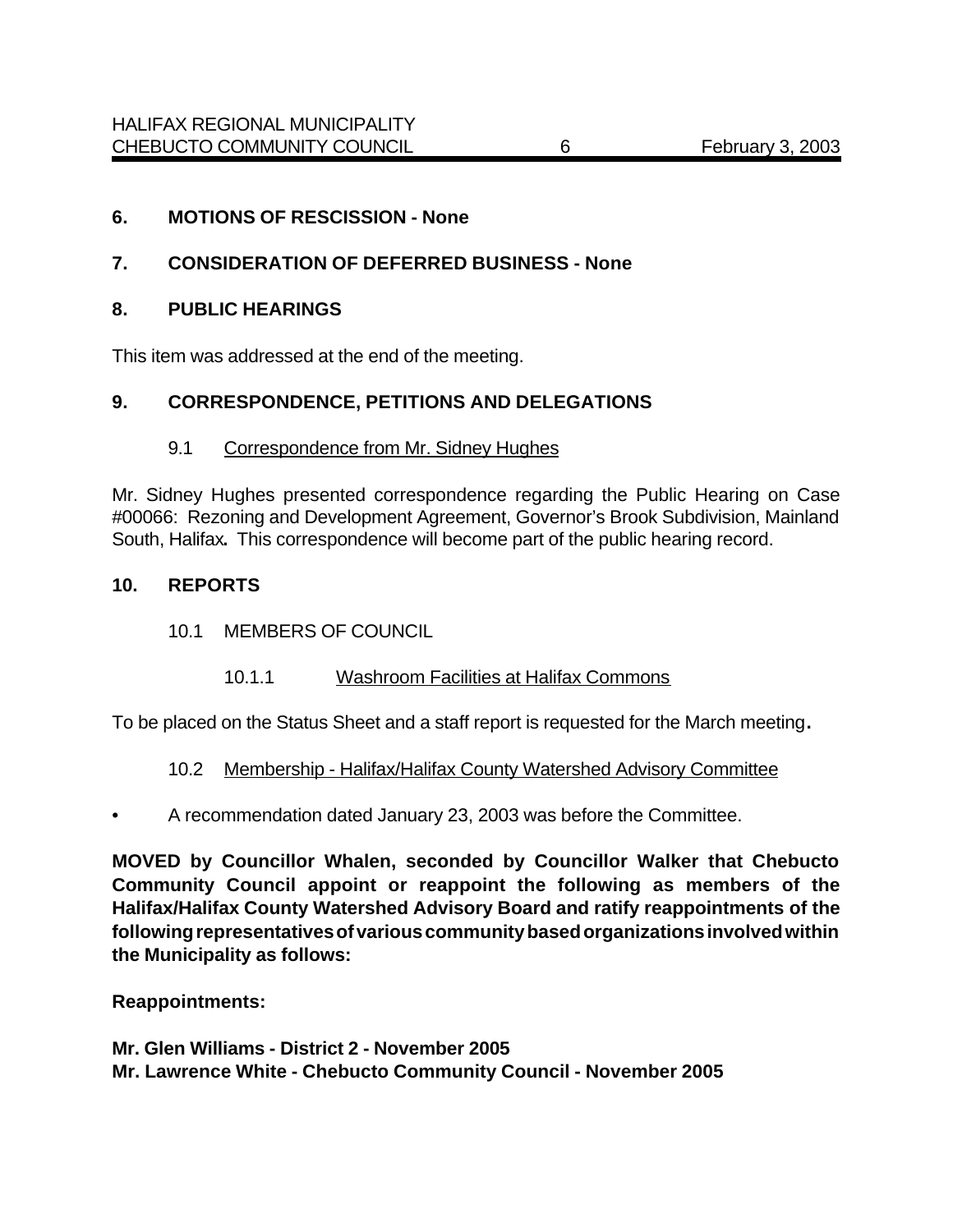## **6. MOTIONS OF RESCISSION - None**

## **7. CONSIDERATION OF DEFERRED BUSINESS - None**

## **8. PUBLIC HEARINGS**

This item was addressed at the end of the meeting.

## **9. CORRESPONDENCE, PETITIONS AND DELEGATIONS**

#### 9.1 Correspondence from Mr. Sidney Hughes

Mr. Sidney Hughes presented correspondence regarding the Public Hearing on Case #00066: Rezoning and Development Agreement, Governor's Brook Subdivision, Mainland South, Halifax**.** This correspondence will become part of the public hearing record.

#### **10. REPORTS**

- 10.1 MEMBERS OF COUNCIL
	- 10.1.1 Washroom Facilities at Halifax Commons

To be placed on the Status Sheet and a staff report is requested for the March meeting**.**

#### 10.2 Membership - Halifax/Halifax County Watershed Advisory Committee

• A recommendation dated January 23, 2003 was before the Committee.

**MOVED by Councillor Whalen, seconded by Councillor Walker that Chebucto Community Council appoint or reappoint the following as members of the Halifax/Halifax County Watershed Advisory Board and ratify reappointments of the following representatives of various community based organizations involved within the Municipality as follows:**

**Reappointments:** 

**Mr. Glen Williams - District 2 - November 2005 Mr. Lawrence White - Chebucto Community Council - November 2005**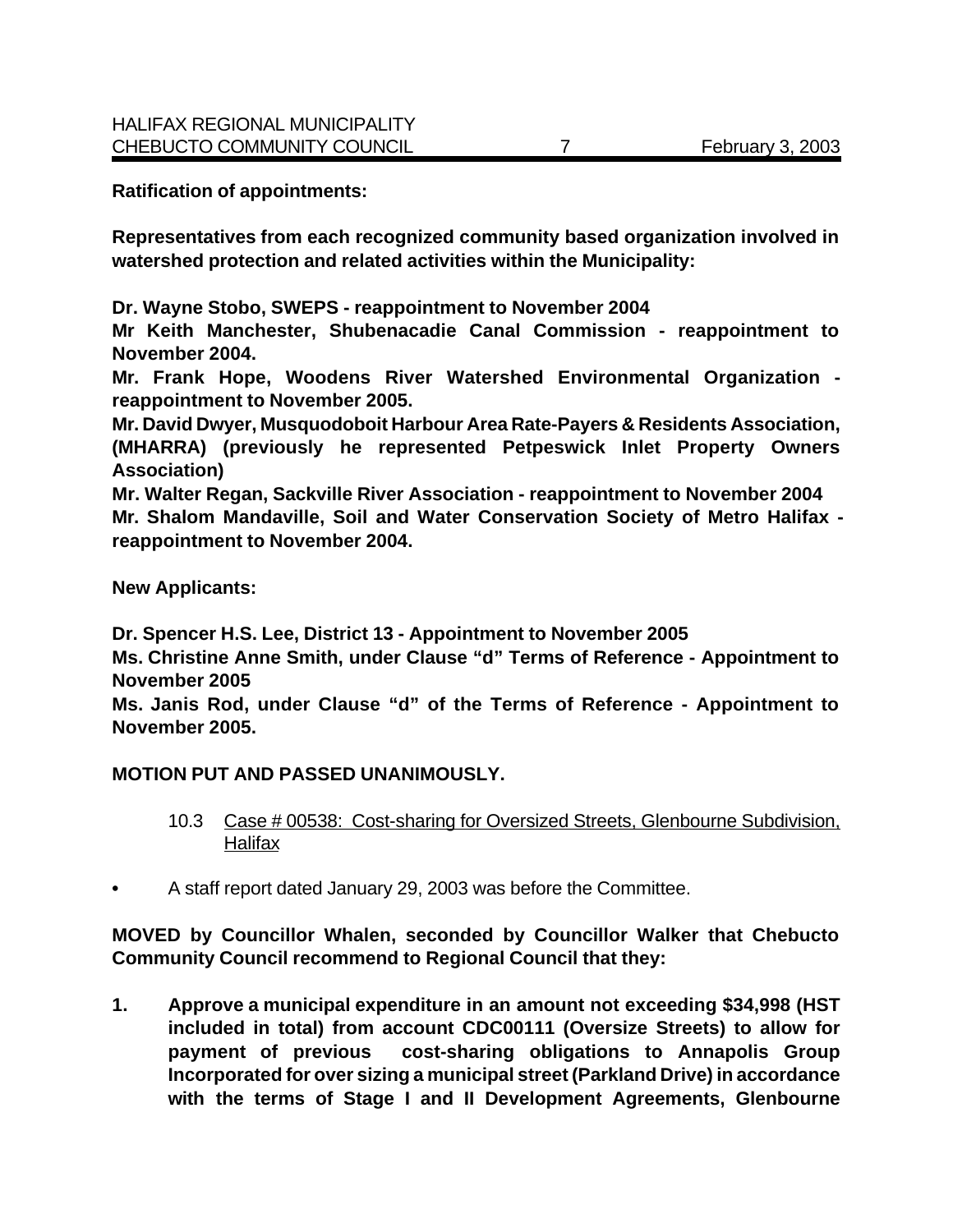#### **Ratification of appointments:**

**Representatives from each recognized community based organization involved in watershed protection and related activities within the Municipality:**

**Dr. Wayne Stobo, SWEPS - reappointment to November 2004**

**Mr Keith Manchester, Shubenacadie Canal Commission - reappointment to November 2004.**

**Mr. Frank Hope, Woodens River Watershed Environmental Organization reappointment to November 2005.**

**Mr. David Dwyer, Musquodoboit Harbour Area Rate-Payers & Residents Association, (MHARRA) (previously he represented Petpeswick Inlet Property Owners Association)**

**Mr. Walter Regan, Sackville River Association - reappointment to November 2004 Mr. Shalom Mandaville, Soil and Water Conservation Society of Metro Halifax reappointment to November 2004.**

**New Applicants:**

**Dr. Spencer H.S. Lee, District 13 - Appointment to November 2005 Ms. Christine Anne Smith, under Clause "d" Terms of Reference - Appointment to November 2005**

**Ms. Janis Rod, under Clause "d" of the Terms of Reference - Appointment to November 2005.**

## **MOTION PUT AND PASSED UNANIMOUSLY.**

- 10.3 Case # 00538: Cost-sharing for Oversized Streets, Glenbourne Subdivision, **Halifax**
- **•** A staff report dated January 29, 2003 was before the Committee.

**MOVED by Councillor Whalen, seconded by Councillor Walker that Chebucto Community Council recommend to Regional Council that they:**

**1. Approve a municipal expenditure in an amount not exceeding \$34,998 (HST included in total) from account CDC00111 (Oversize Streets) to allow for payment of previous cost-sharing obligations to Annapolis Group Incorporated for over sizing a municipal street (Parkland Drive) in accordance with the terms of Stage I and II Development Agreements, Glenbourne**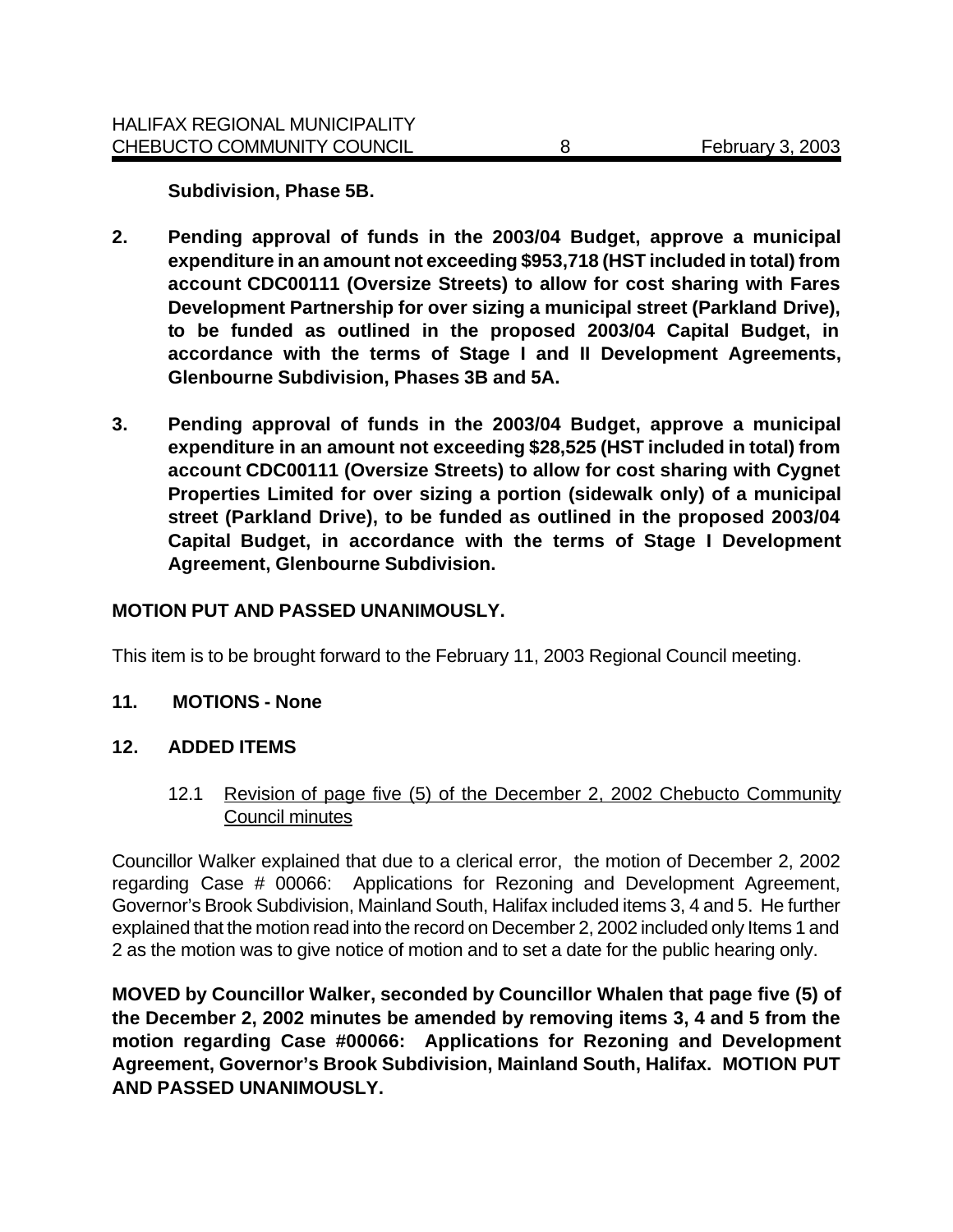**Subdivision, Phase 5B.**

- **2. Pending approval of funds in the 2003/04 Budget, approve a municipal expenditure in an amount not exceeding \$953,718 (HST included in total) from account CDC00111 (Oversize Streets) to allow for cost sharing with Fares Development Partnership for over sizing a municipal street (Parkland Drive), to be funded as outlined in the proposed 2003/04 Capital Budget, in accordance with the terms of Stage I and II Development Agreements, Glenbourne Subdivision, Phases 3B and 5A.**
- **3. Pending approval of funds in the 2003/04 Budget, approve a municipal expenditure in an amount not exceeding \$28,525 (HST included in total) from account CDC00111 (Oversize Streets) to allow for cost sharing with Cygnet Properties Limited for over sizing a portion (sidewalk only) of a municipal street (Parkland Drive), to be funded as outlined in the proposed 2003/04 Capital Budget, in accordance with the terms of Stage I Development Agreement, Glenbourne Subdivision.**

## **MOTION PUT AND PASSED UNANIMOUSLY.**

This item is to be brought forward to the February 11, 2003 Regional Council meeting.

#### **11. MOTIONS - None**

## **12. ADDED ITEMS**

12.1 Revision of page five (5) of the December 2, 2002 Chebucto Community Council minutes

Councillor Walker explained that due to a clerical error, the motion of December 2, 2002 regarding Case # 00066: Applications for Rezoning and Development Agreement, Governor's Brook Subdivision, Mainland South, Halifax included items 3, 4 and 5. He further explained that the motion read into the record on December 2, 2002 included only Items 1 and 2 as the motion was to give notice of motion and to set a date for the public hearing only.

**MOVED by Councillor Walker, seconded by Councillor Whalen that page five (5) of the December 2, 2002 minutes be amended by removing items 3, 4 and 5 from the motion regarding Case #00066: Applications for Rezoning and Development Agreement, Governor's Brook Subdivision, Mainland South, Halifax. MOTION PUT AND PASSED UNANIMOUSLY.**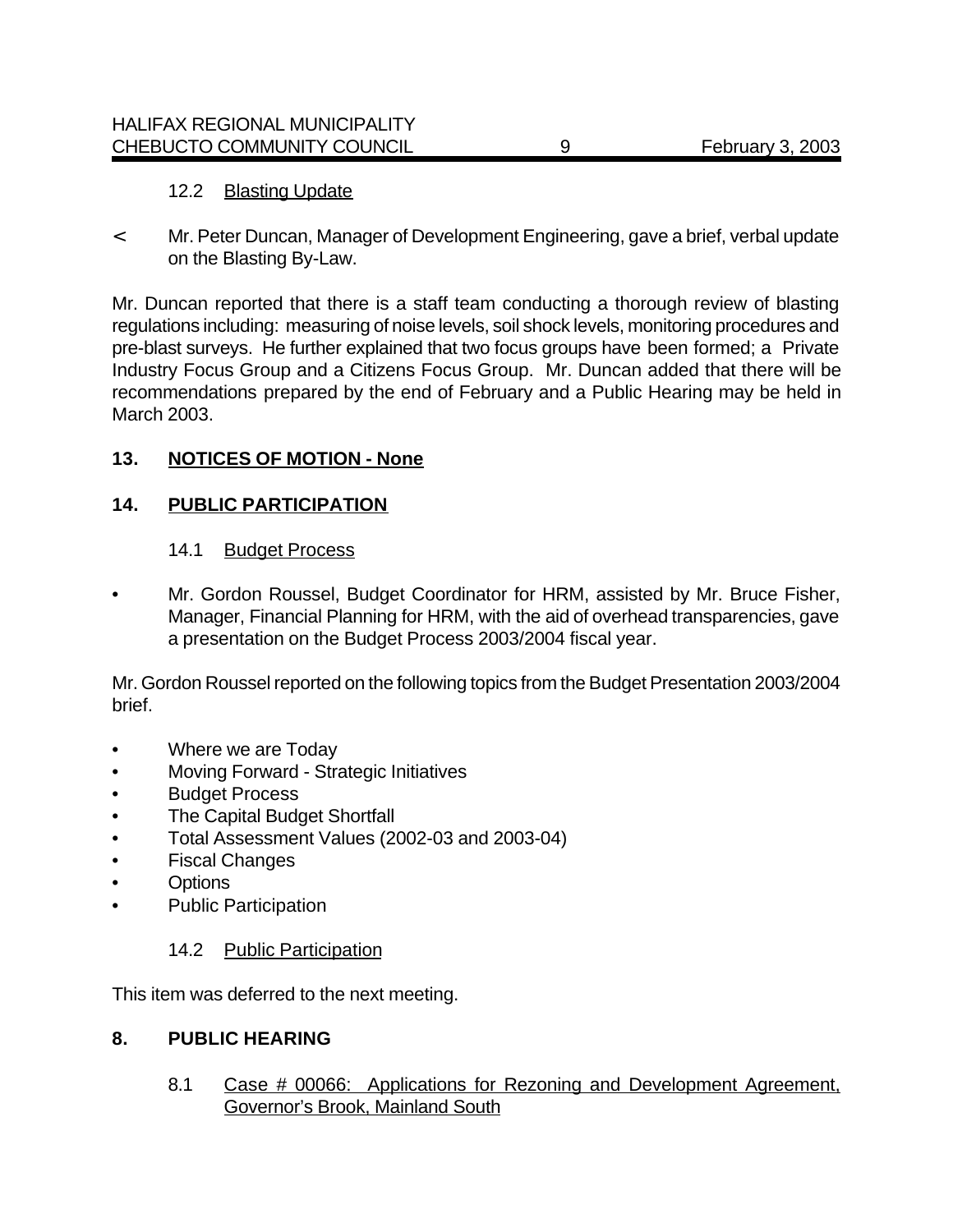# 12.2 Blasting Update

< Mr. Peter Duncan, Manager of Development Engineering, gave a brief, verbal update on the Blasting By-Law.

Mr. Duncan reported that there is a staff team conducting a thorough review of blasting regulations including: measuring of noise levels, soil shock levels, monitoring procedures and pre-blast surveys. He further explained that two focus groups have been formed; a Private Industry Focus Group and a Citizens Focus Group. Mr. Duncan added that there will be recommendations prepared by the end of February and a Public Hearing may be held in March 2003.

## **13. NOTICES OF MOTION - None**

## **14. PUBLIC PARTICIPATION**

## 14.1 Budget Process

• Mr. Gordon Roussel, Budget Coordinator for HRM, assisted by Mr. Bruce Fisher, Manager, Financial Planning for HRM, with the aid of overhead transparencies, gave a presentation on the Budget Process 2003/2004 fiscal year.

Mr. Gordon Roussel reported on the following topics from the Budget Presentation 2003/2004 brief.

- Where we are Today
- Moving Forward Strategic Initiatives
- Budget Process
- The Capital Budget Shortfall
- Total Assessment Values (2002-03 and 2003-04)
- Fiscal Changes
- Options
- Public Participation

## 14.2 Public Participation

This item was deferred to the next meeting.

## **8. PUBLIC HEARING**

8.1 Case # 00066: Applications for Rezoning and Development Agreement, Governor's Brook, Mainland South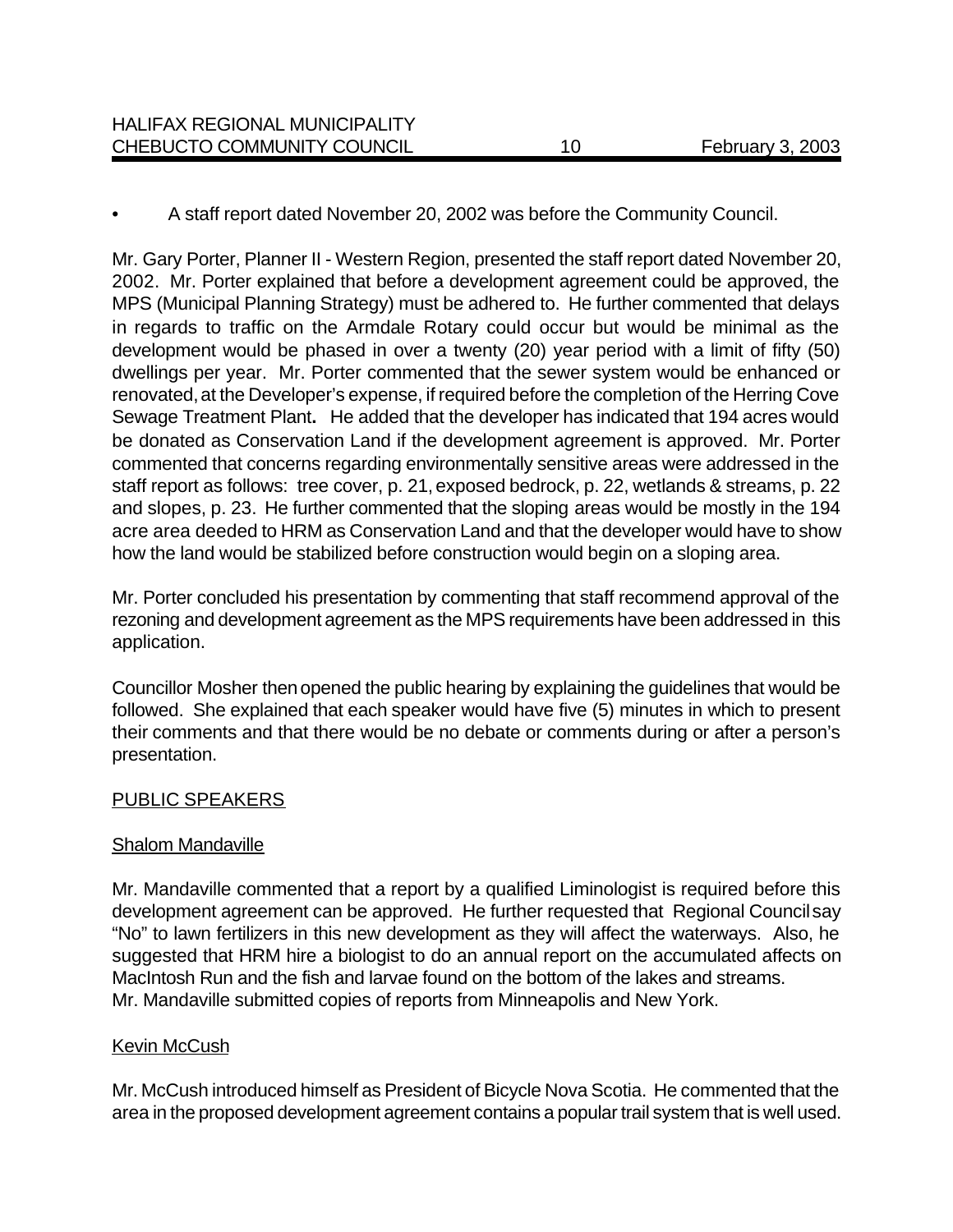| <b>HALIFAX REGIONAL MUNICIPALITY</b> |    |                         |
|--------------------------------------|----|-------------------------|
| CHEBUCTO COMMUNITY COUNCIL           | 10 | <b>February 3, 2003</b> |

• A staff report dated November 20, 2002 was before the Community Council.

Mr. Gary Porter, Planner II - Western Region, presented the staff report dated November 20, 2002. Mr. Porter explained that before a development agreement could be approved, the MPS (Municipal Planning Strategy) must be adhered to.He further commented that delays in regards to traffic on the Armdale Rotary could occur but would be minimal as the development would be phased in over a twenty (20) year period with a limit of fifty (50) dwellings per year. Mr. Porter commented that the sewer system would be enhanced or renovated, at the Developer's expense, if required before the completion of the Herring Cove Sewage Treatment Plant**.** He added that the developer has indicated that 194 acres would be donated as Conservation Land if the development agreement is approved.Mr. Porter commented that concerns regarding environmentally sensitive areas were addressed in the staff report as follows: tree cover, p. 21, exposed bedrock, p. 22, wetlands & streams, p. 22 and slopes, p. 23.He further commented that the sloping areas would be mostly in the 194 acre area deeded to HRM as Conservation Land and that the developer would have to show how the land would be stabilized before construction would begin on a sloping area.

Mr. Porter concluded his presentation by commenting that staff recommend approval of the rezoning and development agreement as the MPS requirements have been addressed in this application.

Councillor Mosher then opened the public hearing by explaining the guidelines that would be followed. She explained that each speaker would have five (5) minutes in which to present their comments and that there would be no debate or comments during or after a person's presentation.

## PUBLIC SPEAKERS

## Shalom Mandaville

Mr. Mandaville commented that a report by a qualified Liminologist is required before this development agreement can be approved. He further requested that Regional Council say "No" to lawn fertilizers in this new development as they will affect the waterways. Also, he suggested that HRM hire a biologist to do an annual report on the accumulated affects on MacIntosh Run and the fish and larvae found on the bottom of the lakes and streams. Mr. Mandaville submitted copies of reports from Minneapolis and New York.

## Kevin McCush

Mr. McCush introduced himself as President of Bicycle Nova Scotia. He commented that the area in the proposed development agreement contains a popular trail system that is well used.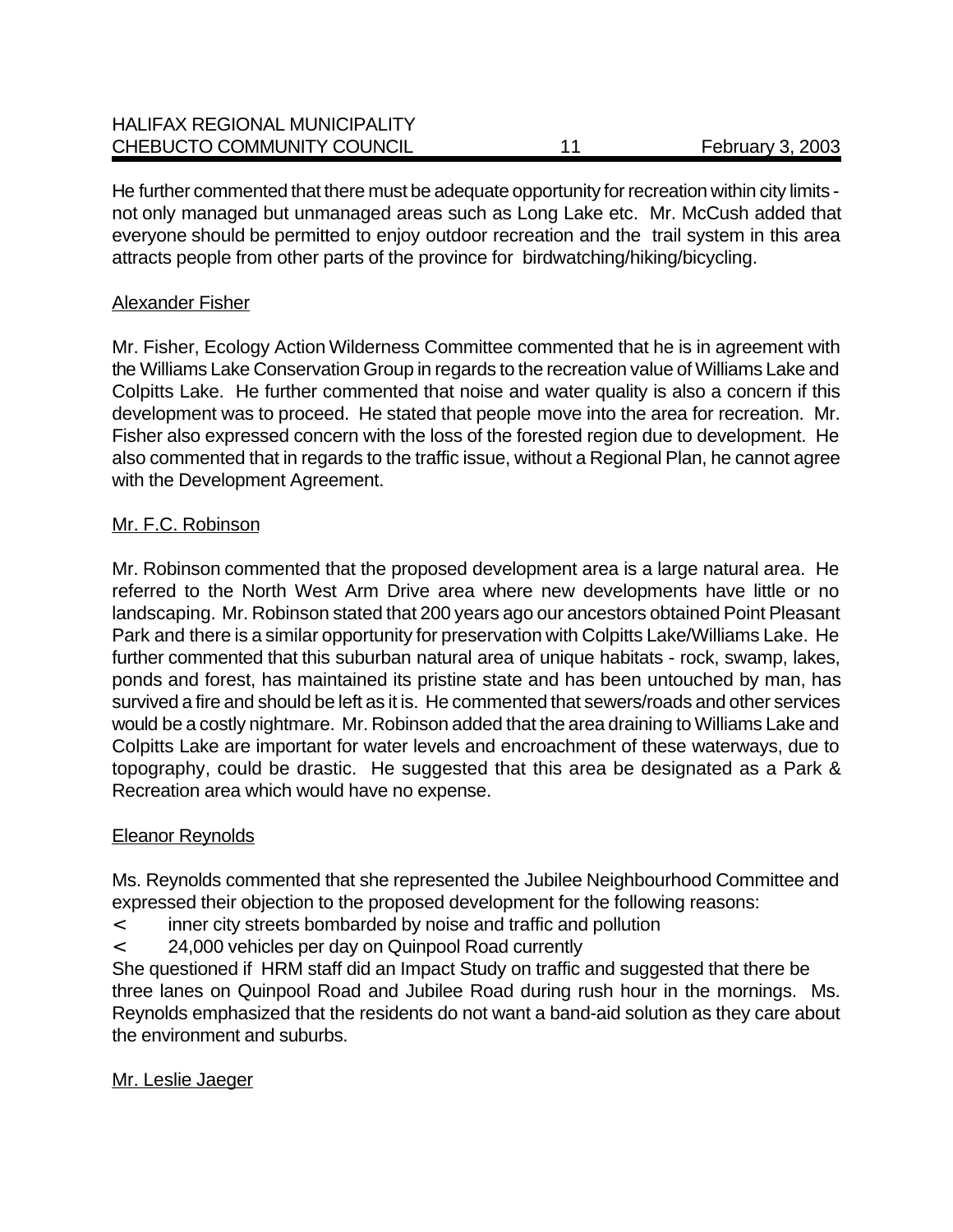| <b>HALIFAX REGIONAL MUNICIPALITY</b> |                  |
|--------------------------------------|------------------|
| CHEBUCTO COMMUNITY COUNCIL           | February 3, 2003 |

He further commented that there must be adequate opportunity for recreation within city limits not only managed but unmanaged areas such as Long Lake etc. Mr. McCush added that everyone should be permitted to enjoy outdoor recreation and the trail system in this area attracts people from other parts of the province for birdwatching/hiking/bicycling.

## Alexander Fisher

Mr. Fisher, Ecology Action Wilderness Committee commented that he is in agreement with the Williams Lake Conservation Group in regards to the recreation value of Williams Lake and Colpitts Lake. He further commented that noise and water quality is also a concern if this development was to proceed. He stated that people move into the area for recreation. Mr. Fisher also expressed concern with the loss of the forested region due to development. He also commented that in regards to the traffic issue, without a Regional Plan, he cannot agree with the Development Agreement.

## Mr. F.C. Robinson

Mr. Robinson commented that the proposed development area is a large natural area. He referred to the North West Arm Drive area where new developments have little or no landscaping. Mr. Robinson stated that 200 years ago our ancestors obtained Point Pleasant Park and there is a similar opportunity for preservation with Colpitts Lake/Williams Lake. He further commented that this suburban natural area of unique habitats - rock, swamp, lakes, ponds and forest, has maintained its pristine state and has been untouched by man, has survived a fire and should be left as it is. He commented that sewers/roads and other services would be a costly nightmare. Mr. Robinson added that the area draining to Williams Lake and Colpitts Lake are important for water levels and encroachment of these waterways, due to topography, could be drastic. He suggested that this area be designated as a Park & Recreation area which would have no expense.

## Eleanor Reynolds

Ms. Reynolds commented that she represented the Jubilee Neighbourhood Committee and expressed their objection to the proposed development for the following reasons:

- < inner city streets bombarded by noise and traffic and pollution
- < 24,000 vehicles per day on Quinpool Road currently

She questioned if HRM staff did an Impact Study on traffic and suggested that there be three lanes on Quinpool Road and Jubilee Road during rush hour in the mornings. Ms. Reynolds emphasized that the residents do not want a band-aid solution as they care about the environment and suburbs.

## Mr. Leslie Jaeger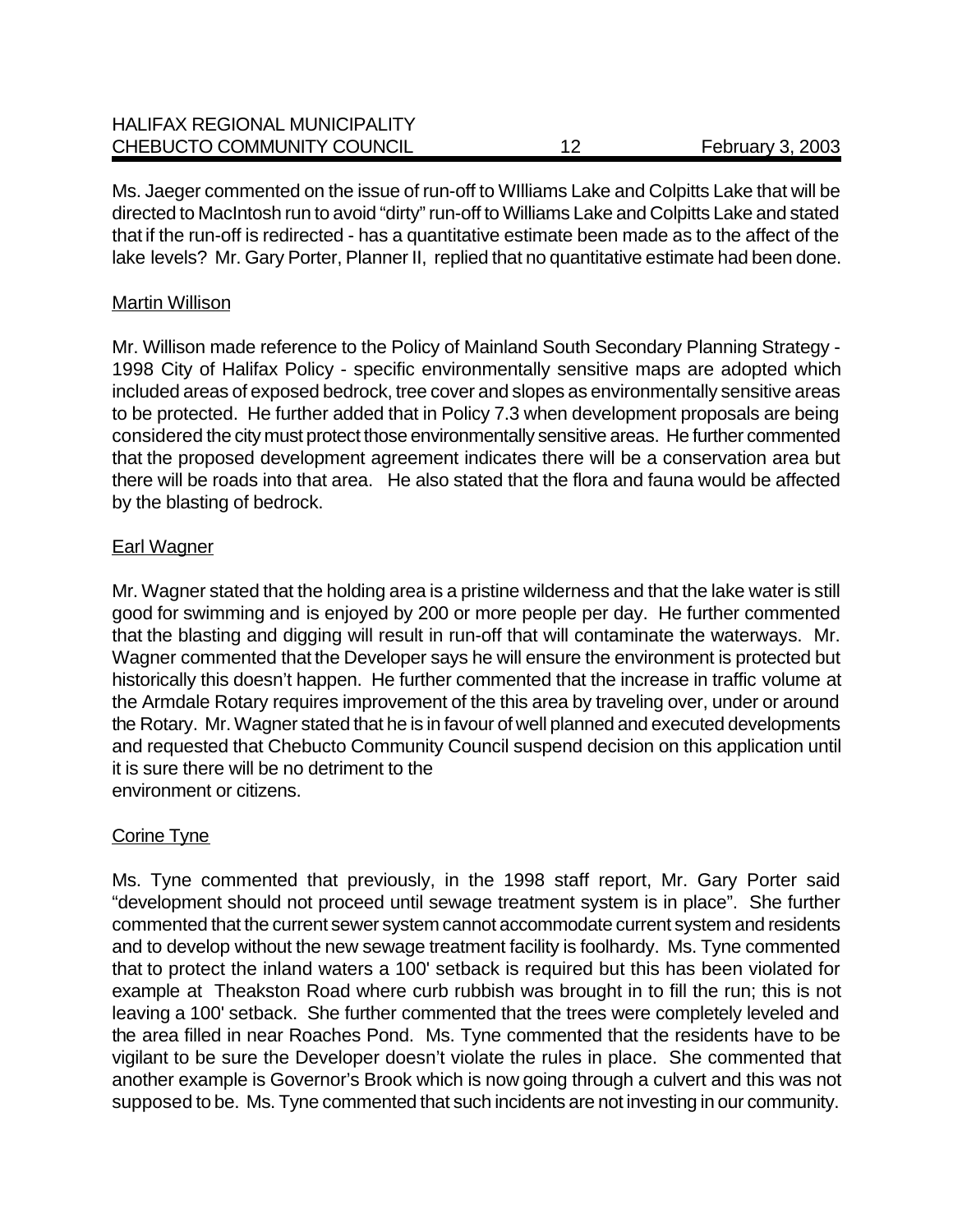| <b>HALIFAX REGIONAL MUNICIPALITY</b> |     |                  |
|--------------------------------------|-----|------------------|
| CHEBUCTO COMMUNITY COUNCIL           | -12 | February 3, 2003 |

Ms. Jaeger commented on the issue of run-off to WIlliams Lake and Colpitts Lake that will be directed to MacIntosh run to avoid "dirty" run-off to Williams Lake and Colpitts Lake and stated that if the run-off is redirected - has a quantitative estimate been made as to the affect of the lake levels? Mr. Gary Porter, Planner II, replied that no quantitative estimate had been done.

## **Martin Willison**

Mr. Willison made reference to the Policy of Mainland South Secondary Planning Strategy - 1998 City of Halifax Policy - specific environmentally sensitive maps are adopted which included areas of exposed bedrock, tree cover and slopes as environmentally sensitive areas to be protected. He further added that in Policy 7.3 when development proposals are being considered the city must protect those environmentally sensitive areas. He further commented that the proposed development agreement indicates there will be a conservation area but there will be roads into that area. He also stated that the flora and fauna would be affected by the blasting of bedrock.

## **Earl Wagner**

Mr. Wagner stated that the holding area is a pristine wilderness and that the lake water is still good for swimming and is enjoyed by 200 or more people per day. He further commented that the blasting and digging will result in run-off that will contaminate the waterways. Mr. Wagner commented that the Developer says he will ensure the environment is protected but historically this doesn't happen. He further commented that the increase in traffic volume at the Armdale Rotary requires improvement of the this area by traveling over, under or around the Rotary. Mr. Wagner stated that he is in favour of well planned and executed developments and requested that Chebucto Community Council suspend decision on this application until it is sure there will be no detriment to the environment or citizens.

# Corine Tyne

Ms. Tyne commented that previously, in the 1998 staff report, Mr. Gary Porter said "development should not proceed until sewage treatment system is in place". She further commented that the current sewer system cannot accommodate current system and residents and to develop without the new sewage treatment facility is foolhardy. Ms. Tyne commented that to protect the inland waters a 100' setback is required but this has been violated for example at Theakston Road where curb rubbish was brought in to fill the run; this is not leaving a 100' setback. She further commented that the trees were completely leveled and the area filled in near Roaches Pond. Ms. Tyne commented that the residents have to be vigilant to be sure the Developer doesn't violate the rules in place. She commented that another example is Governor's Brook which is now going through a culvert and this was not supposed to be. Ms. Tyne commented that such incidents are not investing in our community.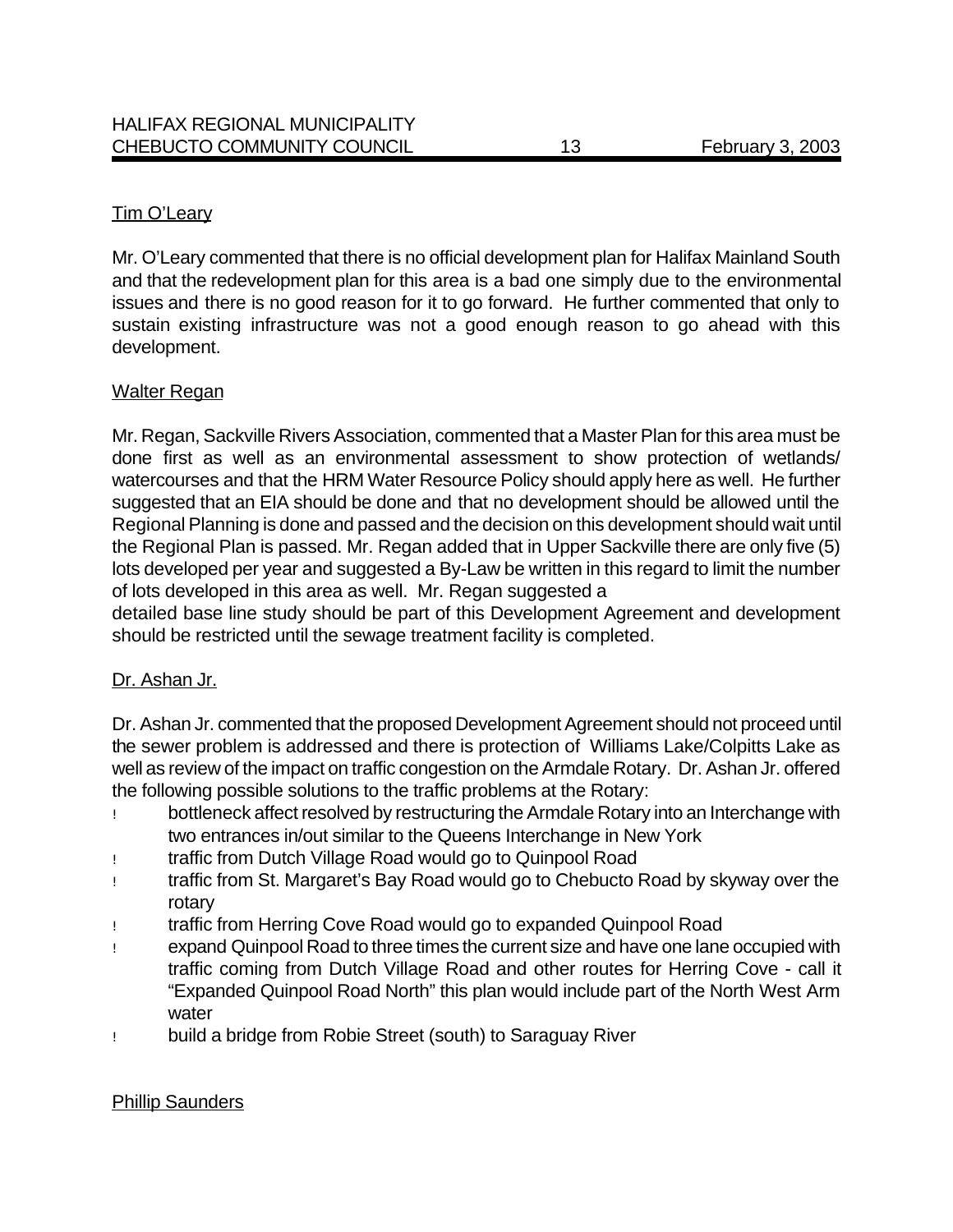# Tim O'Leary

Mr. O'Leary commented that there is no official development plan for Halifax Mainland South and that the redevelopment plan for this area is a bad one simply due to the environmental issues and there is no good reason for it to go forward. He further commented that only to sustain existing infrastructure was not a good enough reason to go ahead with this development.

# Walter Regan

Mr. Regan, Sackville Rivers Association, commented that a Master Plan for this area must be done first as well as an environmental assessment to show protection of wetlands/ watercourses and that the HRM Water Resource Policy should apply here as well. He further suggested that an EIA should be done and that no development should be allowed until the Regional Planning is done and passed and the decision on this development should wait until the Regional Plan is passed. Mr. Regan added that in Upper Sackville there are only five (5) lots developed per year and suggested a By-Law be written in this regard to limit the number of lots developed in this area as well. Mr. Regan suggested a

detailed base line study should be part of this Development Agreement and development should be restricted until the sewage treatment facility is completed.

## Dr. Ashan Jr.

Dr. Ashan Jr. commented that the proposed Development Agreement should not proceed until the sewer problem is addressed and there is protection of Williams Lake/Colpitts Lake as well as review of the impact on traffic congestion on the Armdale Rotary. Dr. Ashan Jr. offered the following possible solutions to the traffic problems at the Rotary:

- ! bottleneck affect resolved by restructuring the Armdale Rotary into an Interchange with two entrances in/out similar to the Queens Interchange in New York
- ! traffic from Dutch Village Road would go to Quinpool Road
- ! traffic from St. Margaret's Bay Road would go to Chebucto Road by skyway over the rotary
- ! traffic from Herring Cove Road would go to expanded Quinpool Road
- ! expand Quinpool Road to three times the current size and have one lane occupied with traffic coming from Dutch Village Road and other routes for Herring Cove - call it "Expanded Quinpool Road North" this plan would include part of the North West Arm water
- ! build a bridge from Robie Street (south) to Saraguay River

## **Phillip Saunders**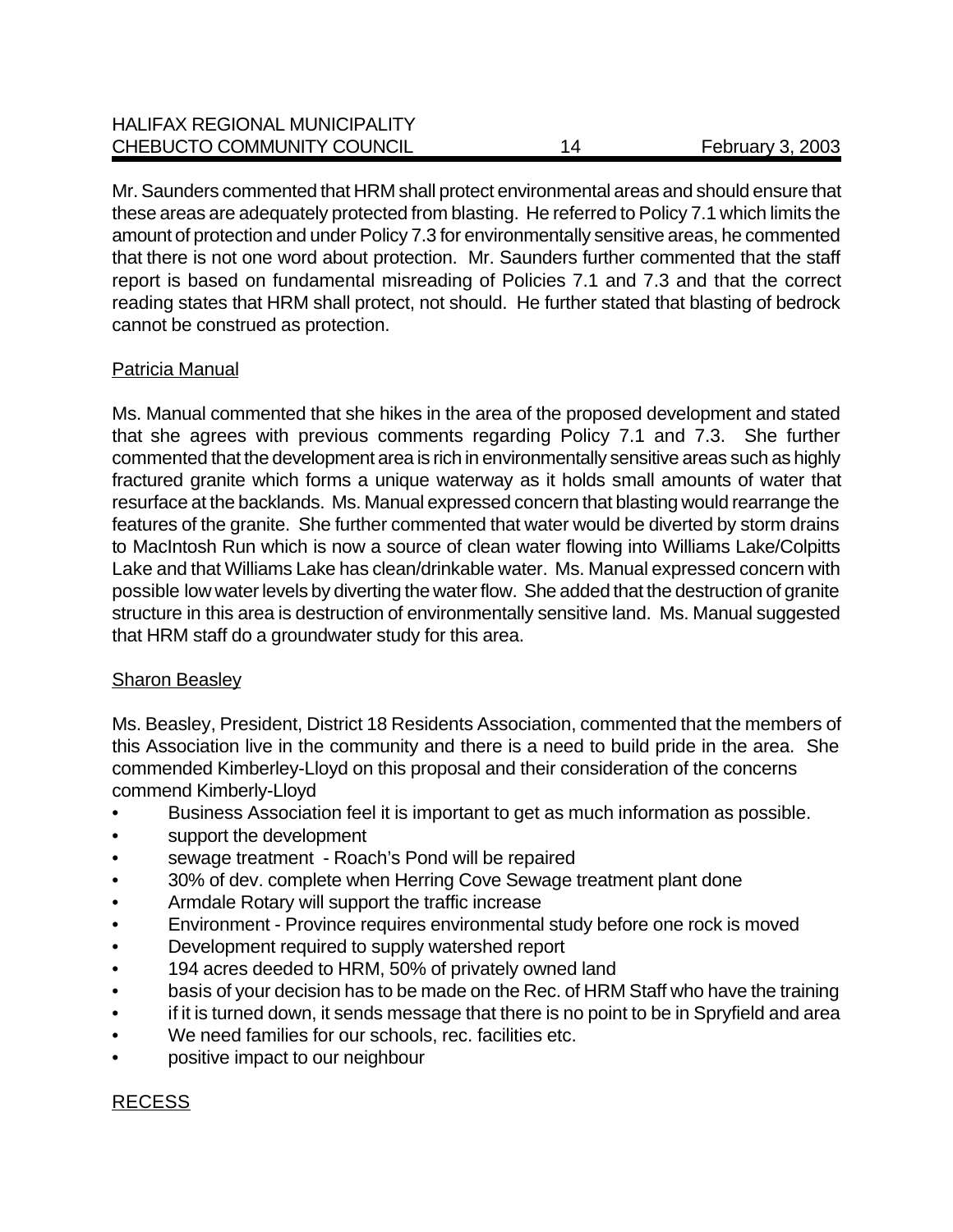| <b>HALIFAX REGIONAL MUNICIPALITY</b> |
|--------------------------------------|
| <b>CHEBUCTO COMMUNITY COUNCIL</b>    |

14 **February 3, 2003** 

Mr. Saunders commented that HRM shall protect environmental areas and should ensure that these areas are adequately protected from blasting. He referred to Policy 7.1 which limits the amount of protection and under Policy 7.3 for environmentally sensitive areas, he commented that there is not one word about protection. Mr. Saunders further commented that the staff report is based on fundamental misreading of Policies 7.1 and 7.3 and that the correct reading states that HRM shall protect, not should. He further stated that blasting of bedrock cannot be construed as protection.

## Patricia Manual

Ms. Manual commented that she hikes in the area of the proposed development and stated that she agrees with previous comments regarding Policy 7.1 and 7.3. She further commented that the development area is rich in environmentally sensitive areas such as highly fractured granite which forms a unique waterway as it holds small amounts of water that resurface at the backlands. Ms. Manual expressed concern that blasting would rearrange the features of the granite. She further commented that water would be diverted by storm drains to MacIntosh Run which is now a source of clean water flowing into Williams Lake/Colpitts Lake and that Williams Lake has clean/drinkable water. Ms. Manual expressed concern with possible low water levels by diverting the water flow. She added that the destruction of granite structure in this area is destruction of environmentally sensitive land. Ms. Manual suggested that HRM staff do a groundwater study for this area.

## **Sharon Beasley**

Ms. Beasley, President, District 18 Residents Association, commented that the members of this Association live in the community and there is a need to build pride in the area. She commended Kimberley-Lloyd on this proposal and their consideration of the concerns commend Kimberly-Lloyd

- Business Association feel it is important to get as much information as possible.
- support the development
- sewage treatment Roach's Pond will be repaired
- 30% of dev. complete when Herring Cove Sewage treatment plant done
- Armdale Rotary will support the traffic increase
- Environment Province requires environmental study before one rock is moved
- Development required to supply watershed report
- 194 acres deeded to HRM, 50% of privately owned land
- basis of your decision has to be made on the Rec. of HRM Staff who have the training
- if it is turned down, it sends message that there is no point to be in Spryfield and area
- We need families for our schools, rec. facilities etc.
- positive impact to our neighbour

# RECESS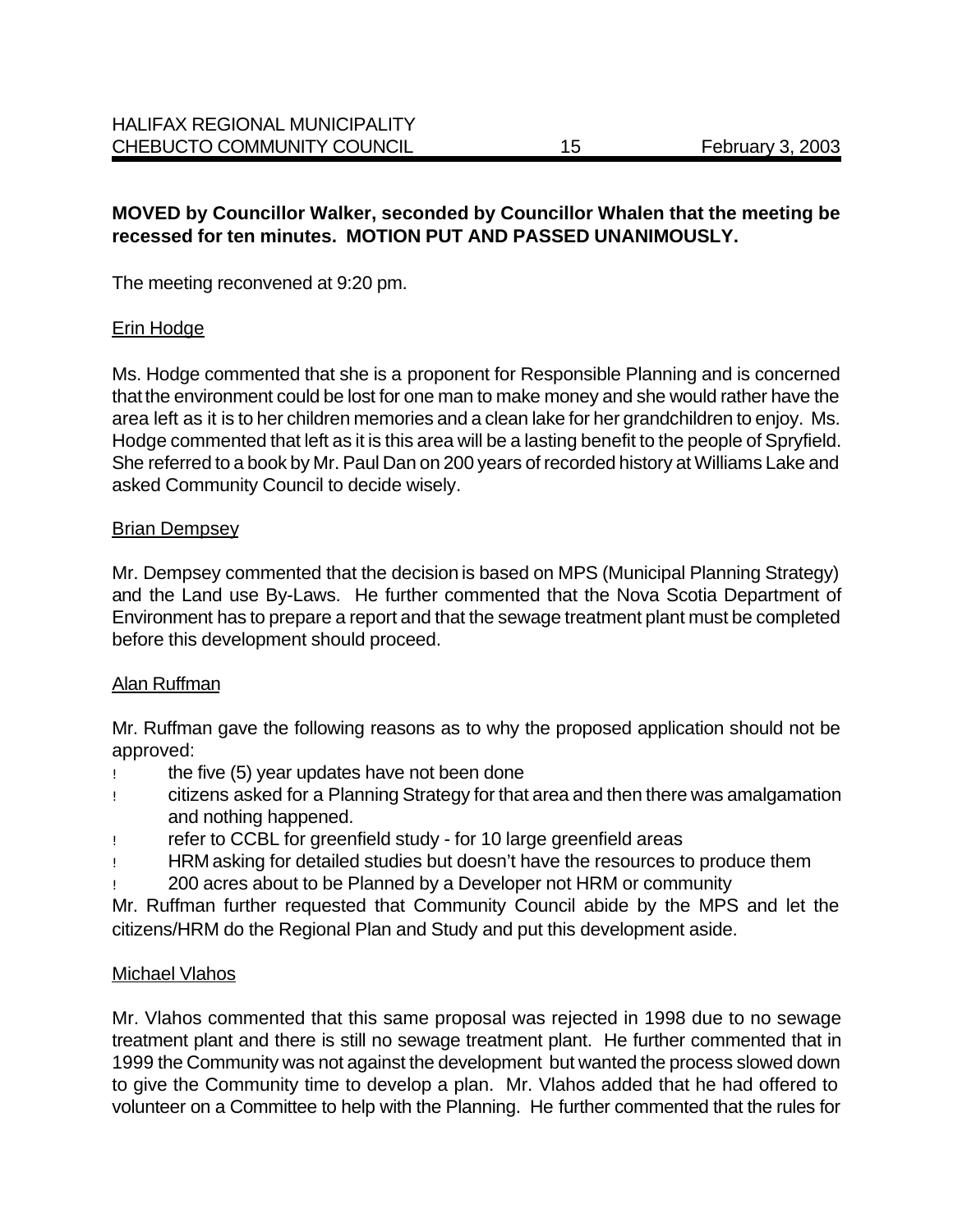## **MOVED by Councillor Walker, seconded by Councillor Whalen that the meeting be recessed for ten minutes. MOTION PUT AND PASSED UNANIMOUSLY.**

The meeting reconvened at 9:20 pm.

## Erin Hodge

Ms. Hodge commented that she is a proponent for Responsible Planning and is concerned that the environment could be lost for one man to make money and she would rather have the area left as it is to her children memories and a clean lake for her grandchildren to enjoy. Ms. Hodge commented that left as it is this area will be a lasting benefit to the people of Spryfield. She referred to a book by Mr. Paul Dan on 200 years of recorded history at Williams Lake and asked Community Council to decide wisely.

## **Brian Dempsey**

Mr. Dempsey commented that the decision is based on MPS (Municipal Planning Strategy) and the Land use By-Laws. He further commented that the Nova Scotia Department of Environment has to prepare a report and that the sewage treatment plant must be completed before this development should proceed.

## Alan Ruffman

Mr. Ruffman gave the following reasons as to why the proposed application should not be approved:

- ! the five (5) year updates have not been done
- ! citizens asked for a Planning Strategy for that area and then there was amalgamation and nothing happened.
- ! refer to CCBL for greenfield study for 10 large greenfield areas
- ! HRM asking for detailed studies but doesn't have the resources to produce them
- ! 200 acres about to be Planned by a Developer not HRM or community

Mr. Ruffman further requested that Community Council abide by the MPS and let the citizens/HRM do the Regional Plan and Study and put this development aside.

## Michael Vlahos

Mr. Vlahos commented that this same proposal was rejected in 1998 due to no sewage treatment plant and there is still no sewage treatment plant. He further commented that in 1999 the Community was not against the development but wanted the process slowed down to give the Community time to develop a plan. Mr. Vlahos added that he had offered to volunteer on a Committee to help with the Planning. He further commented that the rules for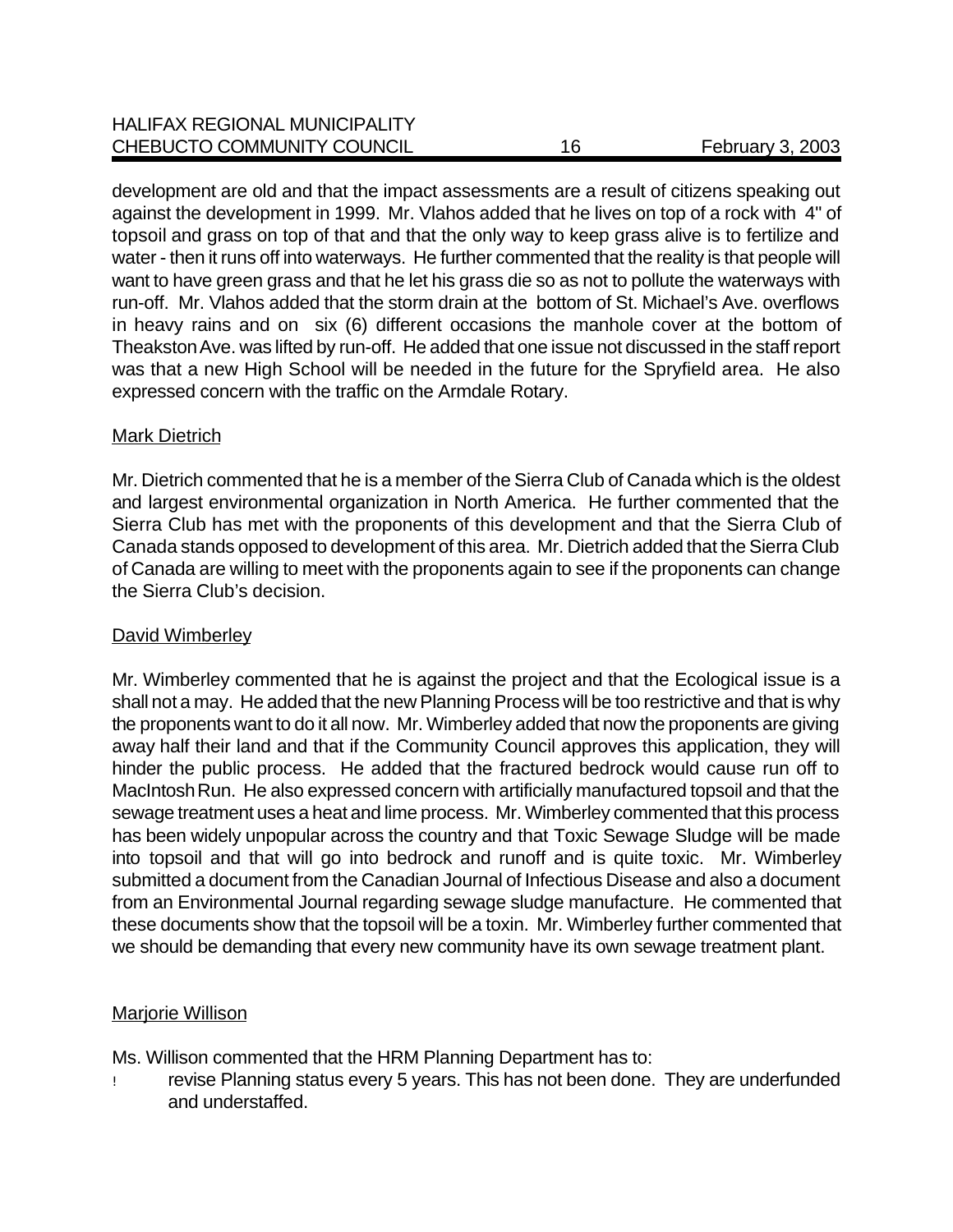development are old and that the impact assessments are a result of citizens speaking out against the development in 1999. Mr. Vlahos added that he lives on top of a rock with 4" of topsoil and grass on top of that and that the only way to keep grass alive is to fertilize and water - then it runs off into waterways. He further commented that the reality is that people will want to have green grass and that he let his grass die so as not to pollute the waterways with run-off. Mr. Vlahos added that the storm drain at the bottom of St. Michael's Ave. overflows in heavy rains and on six (6) different occasions the manhole cover at the bottom of Theakston Ave. was lifted by run-off. He added that one issue not discussed in the staff report was that a new High School will be needed in the future for the Spryfield area. He also expressed concern with the traffic on the Armdale Rotary.

## Mark Dietrich

Mr. Dietrich commented that he is a member of the Sierra Club of Canada which is the oldest and largest environmental organization in North America. He further commented that the Sierra Club has met with the proponents of this development and that the Sierra Club of Canada stands opposed to development of this area. Mr. Dietrich added that the Sierra Club of Canada are willing to meet with the proponents again to see if the proponents can change the Sierra Club's decision.

# David Wimberley

Mr. Wimberley commented that he is against the project and that the Ecological issue is a shall not a may. He added that the new Planning Process will be too restrictive and that is why the proponents want to do it all now. Mr. Wimberley added that now the proponents are giving away half their land and that if the Community Council approves this application, they will hinder the public process. He added that the fractured bedrock would cause run off to MacIntosh Run. He also expressed concern with artificially manufactured topsoil and that the sewage treatment uses a heat and lime process. Mr. Wimberley commented that this process has been widely unpopular across the country and that Toxic Sewage Sludge will be made into topsoil and that will go into bedrock and runoff and is quite toxic. Mr. Wimberley submitted a document from the Canadian Journal of Infectious Disease and also a document from an Environmental Journal regarding sewage sludge manufacture. He commented that these documents show that the topsoil will be a toxin. Mr. Wimberley further commented that we should be demanding that every new community have its own sewage treatment plant.

## Marjorie Willison

Ms. Willison commented that the HRM Planning Department has to:

! revise Planning status every 5 years. This has not been done. They are underfunded and understaffed.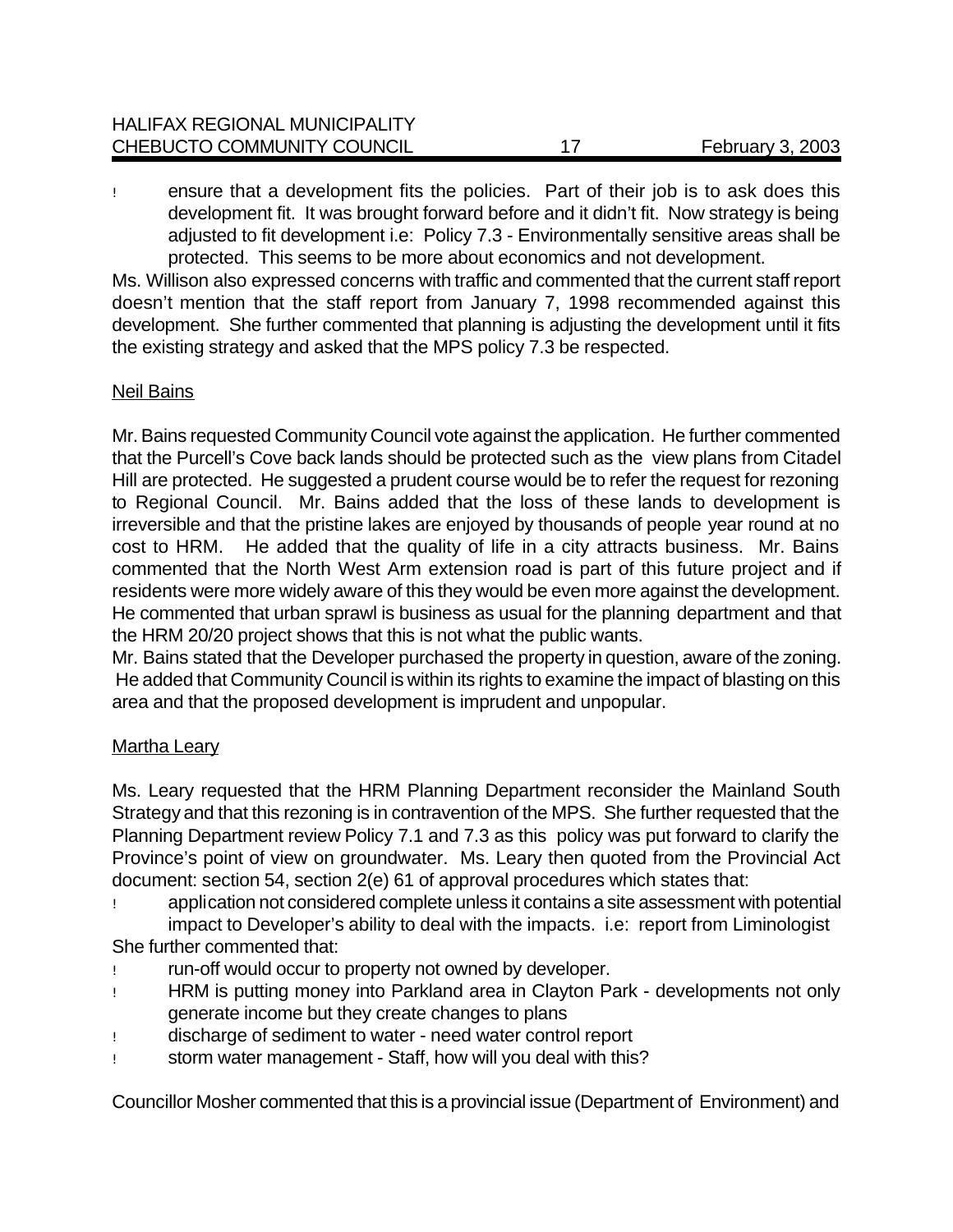| <b>HALIFAX REGIONAL MUNICIPALITY</b> |                  |
|--------------------------------------|------------------|
| CHEBUCTO COMMUNITY COUNCIL           | February 3, 2003 |

! ensure that a development fits the policies. Part of their job is to ask does this development fit. It was brought forward before and it didn't fit. Now strategy is being adjusted to fit development i.e: Policy 7.3 - Environmentally sensitive areas shall be protected. This seems to be more about economics and not development.

Ms. Willison also expressed concerns with traffic and commented that the current staff report doesn't mention that the staff report from January 7, 1998 recommended against this development. She further commented that planning is adjusting the development until it fits the existing strategy and asked that the MPS policy 7.3 be respected.

## Neil Bains

Mr. Bains requested Community Council vote against the application. He further commented that the Purcell's Cove back lands should be protected such as the view plans from Citadel Hill are protected. He suggested a prudent course would be to refer the request for rezoning to Regional Council. Mr. Bains added that the loss of these lands to development is irreversible and that the pristine lakes are enjoyed by thousands of people year round at no cost to HRM. He added that the quality of life in a city attracts business. Mr. Bains commented that the North West Arm extension road is part of this future project and if residents were more widely aware of this they would be even more against the development. He commented that urban sprawl is business as usual for the planning department and that the HRM 20/20 project shows that this is not what the public wants.

Mr. Bains stated that the Developer purchased the property in question, aware of the zoning. He added that Community Council is within its rights to examine the impact of blasting on this area and that the proposed development is imprudent and unpopular.

## Martha Leary

Ms. Leary requested that the HRM Planning Department reconsider the Mainland South Strategy and that this rezoning is in contravention of the MPS. She further requested that the Planning Department review Policy 7.1 and 7.3 as this policy was put forward to clarify the Province's point of view on groundwater. Ms. Leary then quoted from the Provincial Act document: section 54, section 2(e) 61 of approval procedures which states that:

- application not considered complete unless it contains a site assessment with potential impact to Developer's ability to deal with the impacts. i.e: report from Liminologist She further commented that:
- ! run-off would occur to property not owned by developer.
- ! HRM is putting money into Parkland area in Clayton Park developments not only generate income but they create changes to plans
- ! discharge of sediment to water need water control report
- ! storm water management Staff, how will you deal with this?

Councillor Mosher commented that this is a provincial issue (Department of Environment) and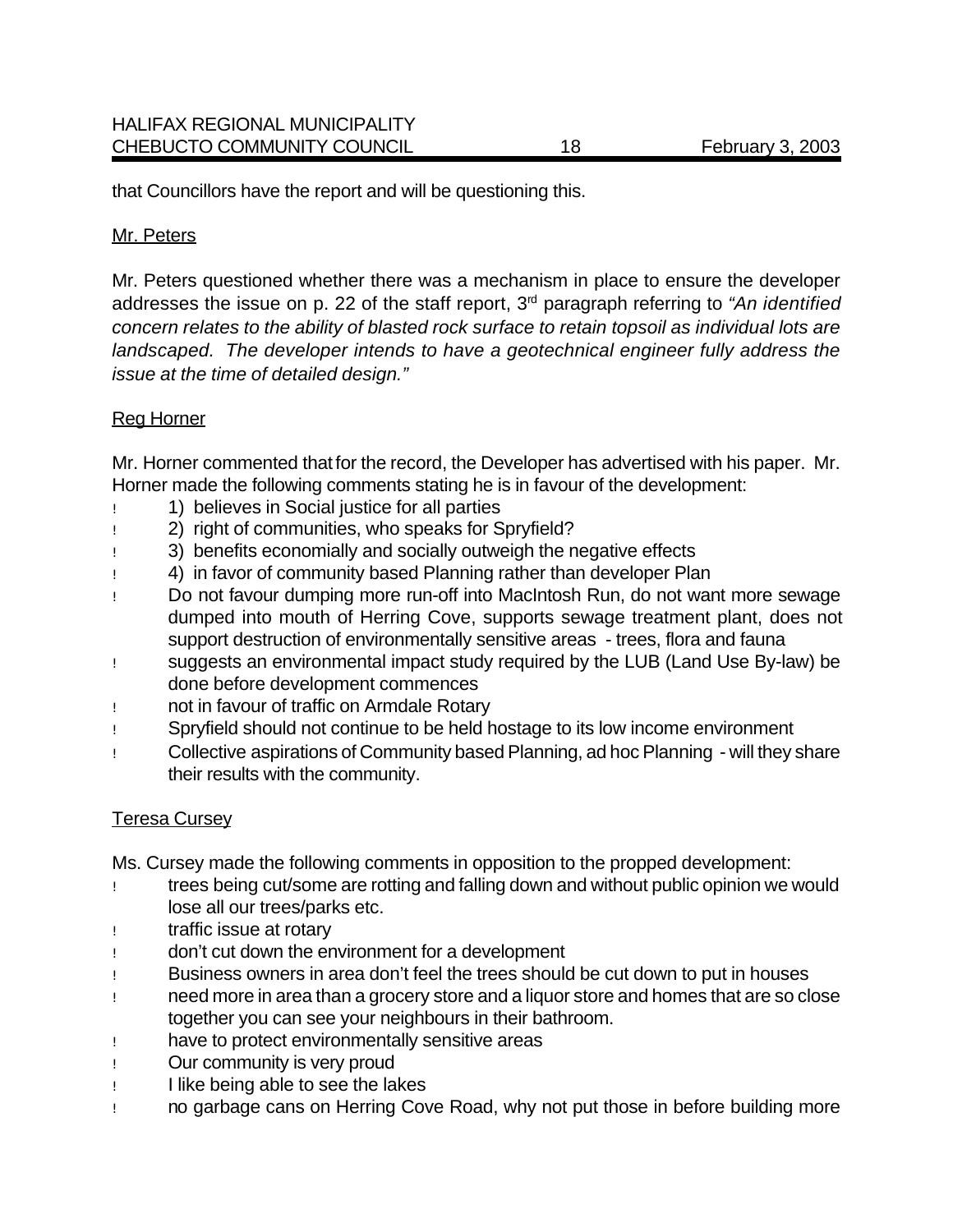that Councillors have the report and will be questioning this.

## Mr. Peters

Mr. Peters questioned whether there was a mechanism in place to ensure the developer addresses the issue on p. 22 of the staff report, 3rd paragraph referring to *"An identified concern relates to the ability of blasted rock surface to retain topsoil as individual lots are landscaped. The developer intends to have a geotechnical engineer fully address the issue at the time of detailed design."* 

# Reg Horner

Mr. Horner commented that for the record, the Developer has advertised with his paper. Mr. Horner made the following comments stating he is in favour of the development:

- ! 1) believes in Social justice for all parties
- ! 2) right of communities, who speaks for Spryfield?
- ! 3) benefits economially and socially outweigh the negative effects
- ! 4) in favor of community based Planning rather than developer Plan
- ! Do not favour dumping more run-off into MacIntosh Run, do not want more sewage dumped into mouth of Herring Cove, supports sewage treatment plant, does not support destruction of environmentally sensitive areas - trees, flora and fauna
- ! suggests an environmental impact study required by the LUB (Land Use By-law) be done before development commences
- ! not in favour of traffic on Armdale Rotary
- ! Spryfield should not continue to be held hostage to its low income environment
- ! Collective aspirations of Community based Planning, ad hoc Planning will they share their results with the community.

# **Teresa Cursey**

Ms. Cursey made the following comments in opposition to the propped development:

- ! trees being cut/some are rotting and falling down and without public opinion we would lose all our trees/parks etc.
- ! traffic issue at rotary
- ! don't cut down the environment for a development
- ! Business owners in area don't feel the trees should be cut down to put in houses
- ! need more in area than a grocery store and a liquor store and homes that are so close together you can see your neighbours in their bathroom.
- ! have to protect environmentally sensitive areas
- ! Our community is very proud
- ! I like being able to see the lakes
- ! no garbage cans on Herring Cove Road, why not put those in before building more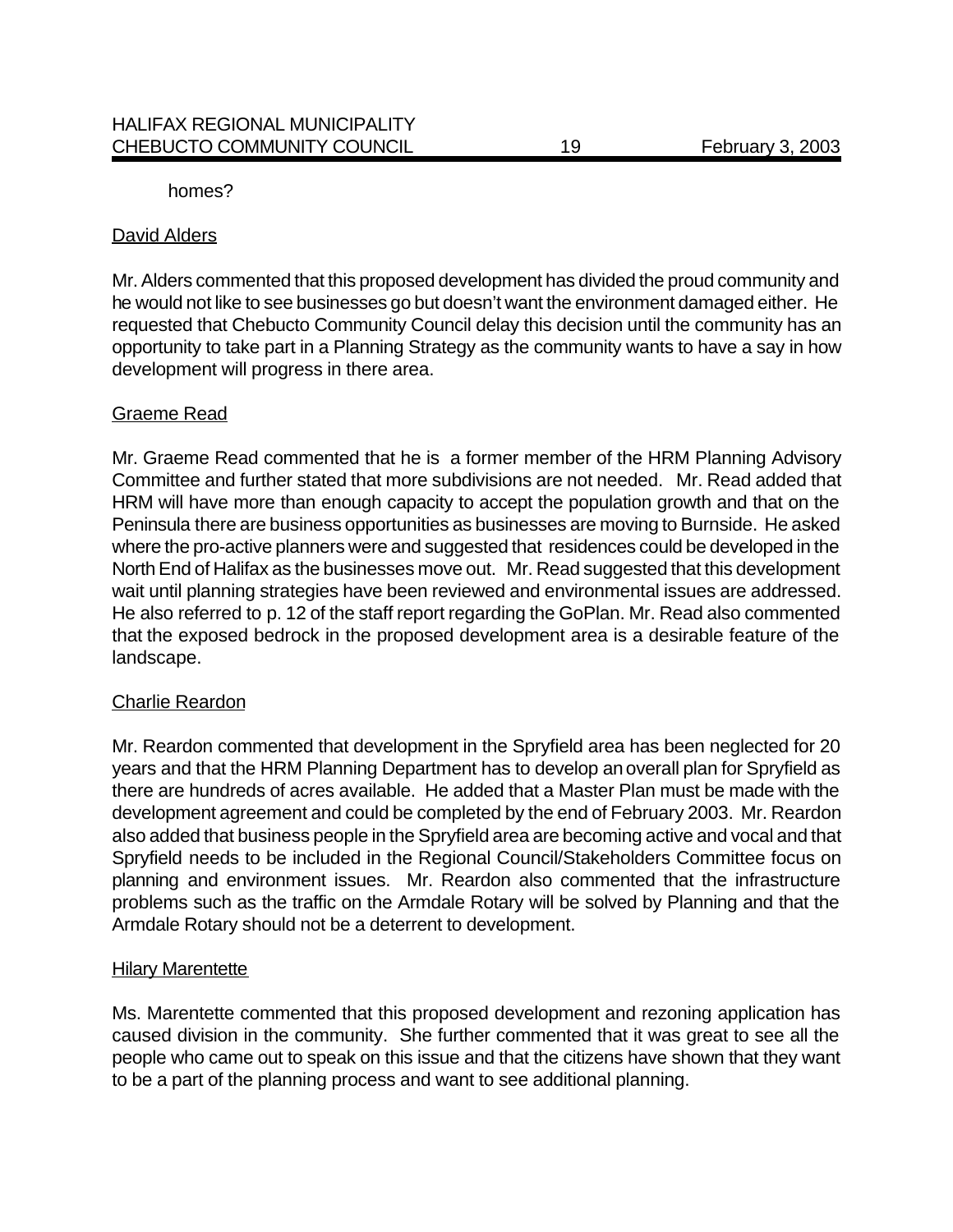## homes?

#### David Alders

Mr. Alders commented that this proposed development has divided the proud community and he would not like to see businesses go but doesn't want the environment damaged either. He requested that Chebucto Community Council delay this decision until the community has an opportunity to take part in a Planning Strategy as the community wants to have a say in how development will progress in there area.

## Graeme Read

Mr. Graeme Read commented that he is a former member of the HRM Planning Advisory Committee and further stated that more subdivisions are not needed. Mr. Read added that HRM will have more than enough capacity to accept the population growth and that on the Peninsula there are business opportunities as businesses are moving to Burnside. He asked where the pro-active planners were and suggested that residences could be developed in the North End of Halifax as the businesses move out. Mr. Read suggested that this development wait until planning strategies have been reviewed and environmental issues are addressed. He also referred to p. 12 of the staff report regarding the GoPlan. Mr. Read also commented that the exposed bedrock in the proposed development area is a desirable feature of the landscape.

## Charlie Reardon

Mr. Reardon commented that development in the Spryfield area has been neglected for 20 years and that the HRM Planning Department has to develop an overall plan for Spryfield as there are hundreds of acres available. He added that a Master Plan must be made with the development agreement and could be completed by the end of February 2003. Mr. Reardon also added that business people in the Spryfield area are becoming active and vocal and that Spryfield needs to be included in the Regional Council/Stakeholders Committee focus on planning and environment issues. Mr. Reardon also commented that the infrastructure problems such as the traffic on the Armdale Rotary will be solved by Planning and that the Armdale Rotary should not be a deterrent to development.

## Hilary Marentette

Ms. Marentette commented that this proposed development and rezoning application has caused division in the community. She further commented that it was great to see all the people who came out to speak on this issue and that the citizens have shown that they want to be a part of the planning process and want to see additional planning.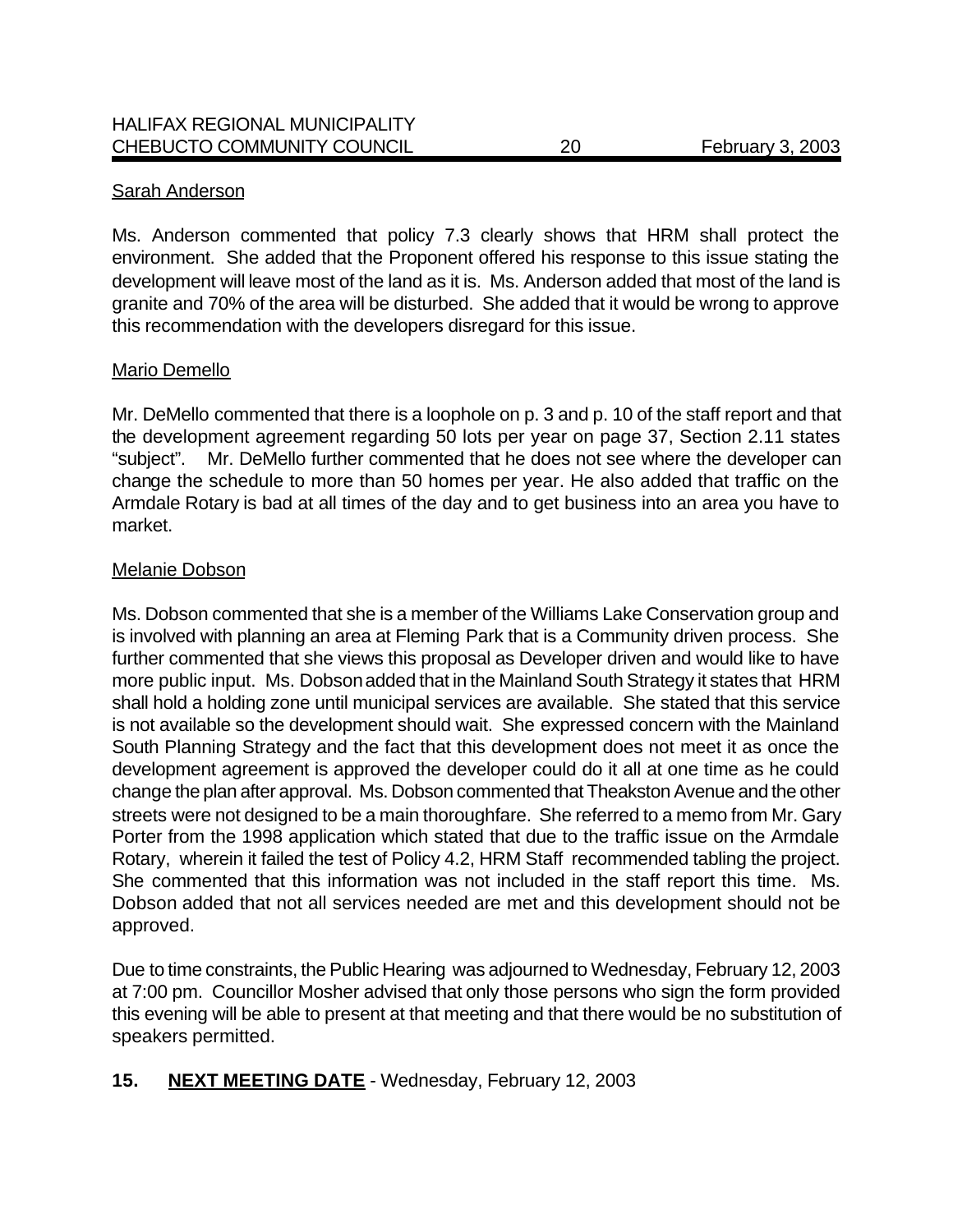## Sarah Anderson

Ms. Anderson commented that policy 7.3 clearly shows that HRM shall protect the environment. She added that the Proponent offered his response to this issue stating the development will leave most of the land as it is. Ms. Anderson added that most of the land is granite and 70% of the area will be disturbed. She added that it would be wrong to approve this recommendation with the developers disregard for this issue.

## Mario Demello

Mr. DeMello commented that there is a loophole on p. 3 and p. 10 of the staff report and that the development agreement regarding 50 lots per year on page 37, Section 2.11 states "subject". Mr. DeMello further commented that he does not see where the developer can change the schedule to more than 50 homes per year. He also added that traffic on the Armdale Rotary is bad at all times of the day and to get business into an area you have to market.

## Melanie Dobson

Ms. Dobson commented that she is a member of the Williams Lake Conservation group and is involved with planning an area at Fleming Park that is a Community driven process. She further commented that she views this proposal as Developer driven and would like to have more public input. Ms. Dobson added that in the Mainland South Strategy it states that HRM shall hold a holding zone until municipal services are available. She stated that this service is not available so the development should wait. She expressed concern with the Mainland South Planning Strategy and the fact that this development does not meet it as once the development agreement is approved the developer could do it all at one time as he could change the plan after approval. Ms. Dobson commented that Theakston Avenue and the other streets were not designed to be a main thoroughfare. She referred to a memo from Mr. Gary Porter from the 1998 application which stated that due to the traffic issue on the Armdale Rotary, wherein it failed the test of Policy 4.2, HRM Staff recommended tabling the project. She commented that this information was not included in the staff report this time. Ms. Dobson added that not all services needed are met and this development should not be approved.

Due to time constraints, the Public Hearing was adjourned to Wednesday, February 12, 2003 at 7:00 pm. Councillor Mosher advised that only those persons who sign the form provided this evening will be able to present at that meeting and that there would be no substitution of speakers permitted.

# **15. NEXT MEETING DATE** - Wednesday, February 12, 2003